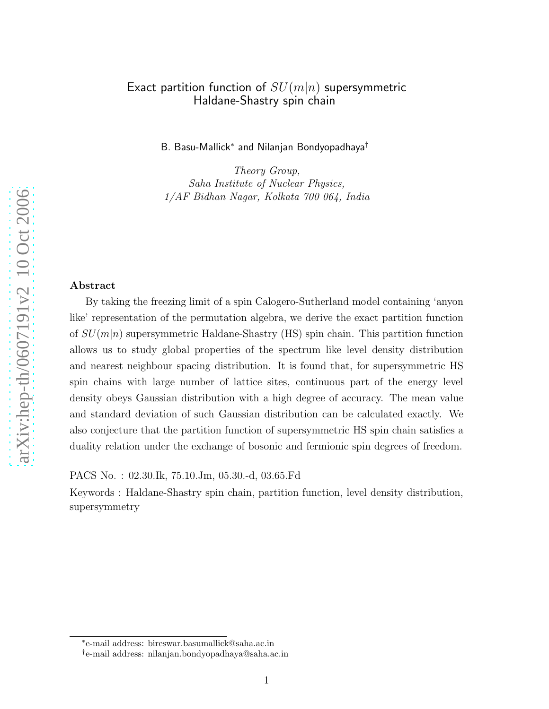#### Exact partition function of  $SU(m|n)$  supersymmetric Haldane-Shastry spin chain

B. Basu-Mallick<sup>∗</sup> and Nilanjan Bondyopadhaya<sup>†</sup>

Theory Group, Saha Institute of Nuclear Physics, 1/AF Bidhan Nagar, Kolkata 700 064, India

#### Abstract

By taking the freezing limit of a spin Calogero-Sutherland model containing 'anyon like' representation of the permutation algebra, we derive the exact partition function of  $SU(m|n)$  supersymmetric Haldane-Shastry (HS) spin chain. This partition function allows us to study global properties of the spectrum like level density distribution and nearest neighbour spacing distribution. It is found that, for supersymmetric HS spin chains with large number of lattice sites, continuous part of the energy level density obeys Gaussian distribution with a high degree of accuracy. The mean value and standard deviation of such Gaussian distribution can be calculated exactly. We also conjecture that the partition function of supersymmetric HS spin chain satisfies a duality relation under the exchange of bosonic and fermionic spin degrees of freedom.

PACS No. : 02.30.Ik, 75.10.Jm, 05.30.-d, 03.65.Fd

Keywords : Haldane-Shastry spin chain, partition function, level density distribution, supersymmetry

<sup>∗</sup> e-mail address: bireswar.basumallick@saha.ac.in

<sup>†</sup> e-mail address: nilanjan.bondyopadhaya@saha.ac.in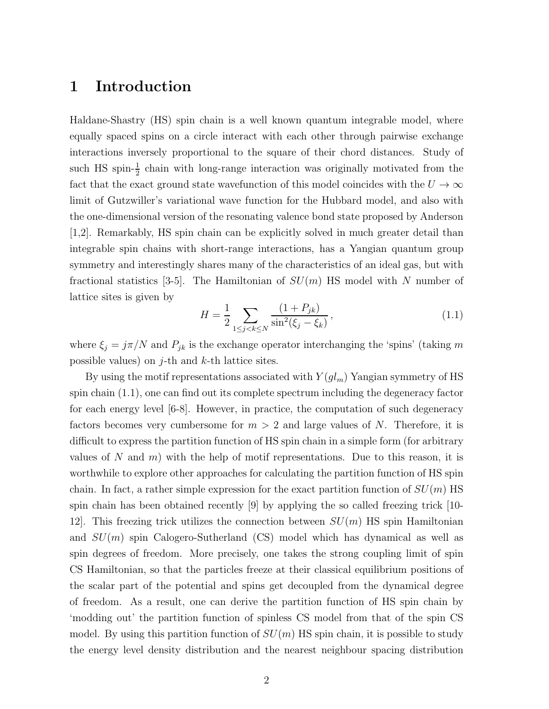## 1 Introduction

Haldane-Shastry (HS) spin chain is a well known quantum integrable model, where equally spaced spins on a circle interact with each other through pairwise exchange interactions inversely proportional to the square of their chord distances. Study of such HS spin- $\frac{1}{2}$  chain with long-range interaction was originally motivated from the fact that the exact ground state wavefunction of this model coincides with the  $U \to \infty$ limit of Gutzwiller's variational wave function for the Hubbard model, and also with the one-dimensional version of the resonating valence bond state proposed by Anderson [1,2]. Remarkably, HS spin chain can be explicitly solved in much greater detail than integrable spin chains with short-range interactions, has a Yangian quantum group symmetry and interestingly shares many of the characteristics of an ideal gas, but with fractional statistics [3-5]. The Hamiltonian of  $SU(m)$  HS model with N number of lattice sites is given by

$$
H = \frac{1}{2} \sum_{1 \le j < k \le N} \frac{(1 + P_{jk})}{\sin^2(\xi_j - \xi_k)},\tag{1.1}
$$

where  $\xi_j = j\pi/N$  and  $P_{jk}$  is the exchange operator interchanging the 'spins' (taking m possible values) on  $j$ -th and  $k$ -th lattice sites.

By using the motif representations associated with  $Y(gl_m)$  Yangian symmetry of HS spin chain (1.1), one can find out its complete spectrum including the degeneracy factor for each energy level [6-8]. However, in practice, the computation of such degeneracy factors becomes very cumbersome for  $m > 2$  and large values of N. Therefore, it is difficult to express the partition function of HS spin chain in a simple form (for arbitrary values of N and m) with the help of motif representations. Due to this reason, it is worthwhile to explore other approaches for calculating the partition function of HS spin chain. In fact, a rather simple expression for the exact partition function of  $SU(m)$  HS spin chain has been obtained recently [9] by applying the so called freezing trick [10- 12. This freezing trick utilizes the connection between  $SU(m)$  HS spin Hamiltonian and  $SU(m)$  spin Calogero-Sutherland (CS) model which has dynamical as well as spin degrees of freedom. More precisely, one takes the strong coupling limit of spin CS Hamiltonian, so that the particles freeze at their classical equilibrium positions of the scalar part of the potential and spins get decoupled from the dynamical degree of freedom. As a result, one can derive the partition function of HS spin chain by 'modding out' the partition function of spinless CS model from that of the spin CS model. By using this partition function of  $SU(m)$  HS spin chain, it is possible to study the energy level density distribution and the nearest neighbour spacing distribution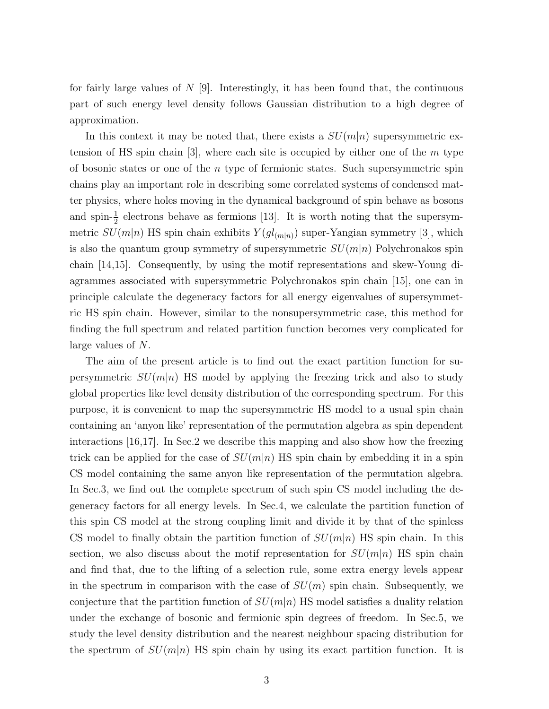for fairly large values of  $N$  [9]. Interestingly, it has been found that, the continuous part of such energy level density follows Gaussian distribution to a high degree of approximation.

In this context it may be noted that, there exists a  $SU(m|n)$  supersymmetric extension of HS spin chain  $[3]$ , where each site is occupied by either one of the  $m$  type of bosonic states or one of the  $n$  type of fermionic states. Such supersymmetric spin chains play an important role in describing some correlated systems of condensed matter physics, where holes moving in the dynamical background of spin behave as bosons and spin- $\frac{1}{2}$  electrons behave as fermions [13]. It is worth noting that the supersymmetric  $SU(m|n)$  HS spin chain exhibits  $Y(gl_{(m|n)})$  super-Yangian symmetry [3], which is also the quantum group symmetry of supersymmetric  $SU(m|n)$  Polychronakos spin chain [14,15]. Consequently, by using the motif representations and skew-Young diagrammes associated with supersymmetric Polychronakos spin chain [15], one can in principle calculate the degeneracy factors for all energy eigenvalues of supersymmetric HS spin chain. However, similar to the nonsupersymmetric case, this method for finding the full spectrum and related partition function becomes very complicated for large values of N.

The aim of the present article is to find out the exact partition function for supersymmetric  $SU(m|n)$  HS model by applying the freezing trick and also to study global properties like level density distribution of the corresponding spectrum. For this purpose, it is convenient to map the supersymmetric HS model to a usual spin chain containing an 'anyon like' representation of the permutation algebra as spin dependent interactions [16,17]. In Sec.2 we describe this mapping and also show how the freezing trick can be applied for the case of  $SU(m|n)$  HS spin chain by embedding it in a spin CS model containing the same anyon like representation of the permutation algebra. In Sec.3, we find out the complete spectrum of such spin CS model including the degeneracy factors for all energy levels. In Sec.4, we calculate the partition function of this spin CS model at the strong coupling limit and divide it by that of the spinless CS model to finally obtain the partition function of  $SU(m|n)$  HS spin chain. In this section, we also discuss about the motif representation for  $SU(m|n)$  HS spin chain and find that, due to the lifting of a selection rule, some extra energy levels appear in the spectrum in comparison with the case of  $SU(m)$  spin chain. Subsequently, we conjecture that the partition function of  $SU(m|n)$  HS model satisfies a duality relation under the exchange of bosonic and fermionic spin degrees of freedom. In Sec.5, we study the level density distribution and the nearest neighbour spacing distribution for the spectrum of  $SU(m|n)$  HS spin chain by using its exact partition function. It is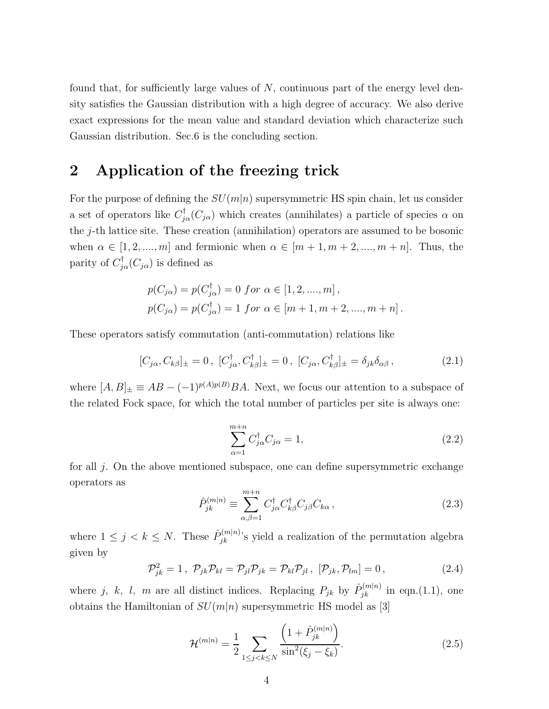found that, for sufficiently large values of  $N$ , continuous part of the energy level density satisfies the Gaussian distribution with a high degree of accuracy. We also derive exact expressions for the mean value and standard deviation which characterize such Gaussian distribution. Sec.6 is the concluding section.

### 2 Application of the freezing trick

For the purpose of defining the  $SU(m|n)$  supersymmetric HS spin chain, let us consider a set of operators like  $C^{\dagger}_{j\alpha}(C_{j\alpha})$  which creates (annihilates) a particle of species  $\alpha$  on the j-th lattice site. These creation (annihilation) operators are assumed to be bosonic when  $\alpha \in [1, 2, ..., m]$  and fermionic when  $\alpha \in [m+1, m+2, ..., m+n]$ . Thus, the parity of  $C_{j\alpha}^{\dagger}(C_{j\alpha})$  is defined as

$$
p(C_{j\alpha}) = p(C_{j\alpha}^{\dagger}) = 0 \text{ for } \alpha \in [1, 2, ..., m],
$$
  

$$
p(C_{j\alpha}) = p(C_{j\alpha}^{\dagger}) = 1 \text{ for } \alpha \in [m+1, m+2, ..., m+n].
$$

These operators satisfy commutation (anti-commutation) relations like

$$
[C_{j\alpha}, C_{k\beta}]_{\pm} = 0, [C_{j\alpha}^{\dagger}, C_{k\beta}^{\dagger}]_{\pm} = 0, [C_{j\alpha}, C_{k\beta}^{\dagger}]_{\pm} = \delta_{jk}\delta_{\alpha\beta}, \qquad (2.1)
$$

where  $[A, B]_{\pm} \equiv AB - (-1)^{p(A)p(B)}BA$ . Next, we focus our attention to a subspace of the related Fock space, for which the total number of particles per site is always one:

$$
\sum_{\alpha=1}^{m+n} C_{j\alpha}^{\dagger} C_{j\alpha} = 1, \qquad (2.2)
$$

for all j. On the above mentioned subspace, one can define supersymmetric exchange operators as

$$
\hat{P}_{jk}^{(m|n)} \equiv \sum_{\alpha,\beta=1}^{m+n} C_{j\alpha}^{\dagger} C_{k\beta}^{\dagger} C_{j\beta} C_{k\alpha} , \qquad (2.3)
$$

where  $1 \leq j \leq k \leq N$ . These  $\hat{P}_{jk}^{(m|n)}$ 's yield a realization of the permutation algebra given by

$$
\mathcal{P}_{jk}^2 = 1, \ \mathcal{P}_{jk}\mathcal{P}_{kl} = \mathcal{P}_{jl}\mathcal{P}_{jk} = \mathcal{P}_{kl}\mathcal{P}_{jl}, \ [\mathcal{P}_{jk}, \mathcal{P}_{lm}] = 0, \tag{2.4}
$$

where j, k, l, m are all distinct indices. Replacing  $P_{jk}$  by  $\hat{P}_{jk}^{(m|n)}$  in eqn.(1.1), one obtains the Hamiltonian of  $SU(m|n)$  supersymmetric HS model as [3]

$$
\mathcal{H}^{(m|n)} = \frac{1}{2} \sum_{1 \le j < k \le N} \frac{\left(1 + \hat{P}_{jk}^{(m|n)}\right)}{\sin^2(\xi_j - \xi_k)}.\tag{2.5}
$$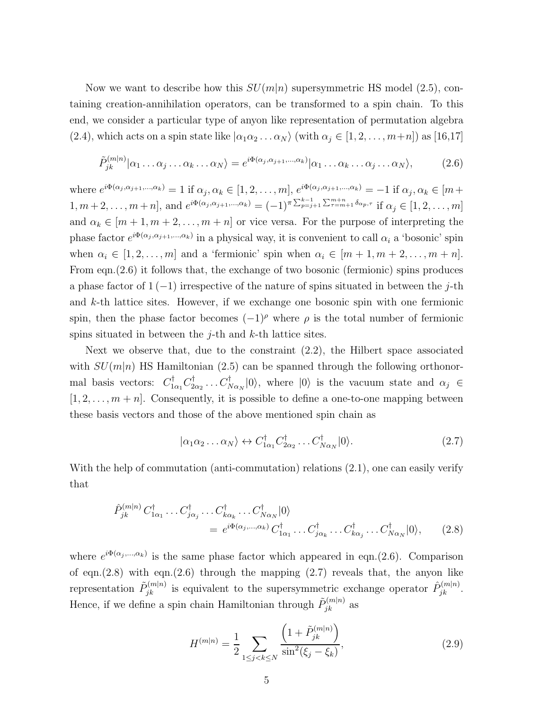Now we want to describe how this  $SU(m|n)$  supersymmetric HS model (2.5), containing creation-annihilation operators, can be transformed to a spin chain. To this end, we consider a particular type of anyon like representation of permutation algebra (2.4), which acts on a spin state like  $|\alpha_1\alpha_2...\alpha_N\rangle$  (with  $\alpha_j \in [1, 2, ..., m+n]$ ) as [16,17]

$$
\tilde{P}_{jk}^{(m|n)}|\alpha_1 \dots \alpha_j \dots \alpha_k \dots \alpha_N\rangle = e^{i\Phi(\alpha_j, \alpha_{j+1}, \dots, \alpha_k)}|\alpha_1 \dots \alpha_k \dots \alpha_j \dots \alpha_N\rangle, \tag{2.6}
$$

where  $e^{i\Phi(\alpha_j,\alpha_{j+1},\ldots,\alpha_k)} = 1$  if  $\alpha_j, \alpha_k \in [1,2,\ldots,m]$ ,  $e^{i\Phi(\alpha_j,\alpha_{j+1},\ldots,\alpha_k)} = -1$  if  $\alpha_j, \alpha_k \in [m+m]$ 1,  $m+2, \ldots, m+n$ , and  $e^{i\Phi(\alpha_j, \alpha_{j+1}, \ldots, \alpha_k)} = (-1)^{\pi \sum_{p=j+1}^{k-1} \sum_{\tau=m+1}^{m+n} \delta_{\alpha_p, \tau}}$  if  $\alpha_j \in [1, 2, \ldots, m]$ and  $\alpha_k \in [m+1, m+2, \ldots, m+n]$  or vice versa. For the purpose of interpreting the phase factor  $e^{i\Phi(\alpha_j,\alpha_{j+1},\dots,\alpha_k)}$  in a physical way, it is convenient to call  $\alpha_i$  a 'bosonic' spin when  $\alpha_i \in [1, 2, \ldots, m]$  and a 'fermionic' spin when  $\alpha_i \in [m + 1, m + 2, \ldots, m + n]$ . From eqn.(2.6) it follows that, the exchange of two bosonic (fermionic) spins produces a phase factor of  $1(-1)$  irrespective of the nature of spins situated in between the j-th and  $k$ -th lattice sites. However, if we exchange one bosonic spin with one fermionic spin, then the phase factor becomes  $(-1)^\rho$  where  $\rho$  is the total number of fermionic spins situated in between the  $j$ -th and  $k$ -th lattice sites.

Next we observe that, due to the constraint (2.2), the Hilbert space associated with  $SU(m|n)$  HS Hamiltonian (2.5) can be spanned through the following orthonormal basis vectors:  $C_{1\alpha_1}^{\dagger} C_2^{\dagger}$  $C^{\dagger}_{2\alpha_2} \ldots C^{\dagger}_{N\alpha_N} |0\rangle$ , where  $|0\rangle$  is the vacuum state and  $\alpha_j \in$  $[1, 2, \ldots, m + n]$ . Consequently, it is possible to define a one-to-one mapping between these basis vectors and those of the above mentioned spin chain as

$$
|\alpha_1 \alpha_2 \dots \alpha_N\rangle \leftrightarrow C_{1\alpha_1}^\dagger C_{2\alpha_2}^\dagger \dots C_{N\alpha_N}^\dagger |0\rangle. \tag{2.7}
$$

With the help of commutation (anti-commutation) relations  $(2.1)$ , one can easily verify that

$$
\hat{P}_{jk}^{(m|n)} C_{1\alpha_1}^{\dagger} \dots C_{j\alpha_j}^{\dagger} \dots C_{k\alpha_k}^{\dagger} \dots C_{N\alpha_N}^{\dagger} |0\rangle
$$
\n
$$
= e^{i\Phi(\alpha_j, \dots, \alpha_k)} C_{1\alpha_1}^{\dagger} \dots C_{j\alpha_k}^{\dagger} \dots C_{k\alpha_j}^{\dagger} \dots C_{N\alpha_N}^{\dagger} |0\rangle, \qquad (2.8)
$$

where  $e^{i\Phi(\alpha_j,\ldots,\alpha_k)}$  is the same phase factor which appeared in eqn.(2.6). Comparison of eqn. $(2.8)$  with eqn. $(2.6)$  through the mapping  $(2.7)$  reveals that, the anyon like representation  $\tilde{P}_{jk}^{(m|n)}$  is equivalent to the supersymmetric exchange operator  $\hat{P}_{jk}^{(m|n)}$ . Hence, if we define a spin chain Hamiltonian through  $\tilde{P}_{jk}^{(m|n)}$  as

$$
H^{(m|n)} = \frac{1}{2} \sum_{1 \le j < k \le N} \frac{\left(1 + \tilde{P}_{jk}^{(m|n)}\right)}{\sin^2(\xi_j - \xi_k)},\tag{2.9}
$$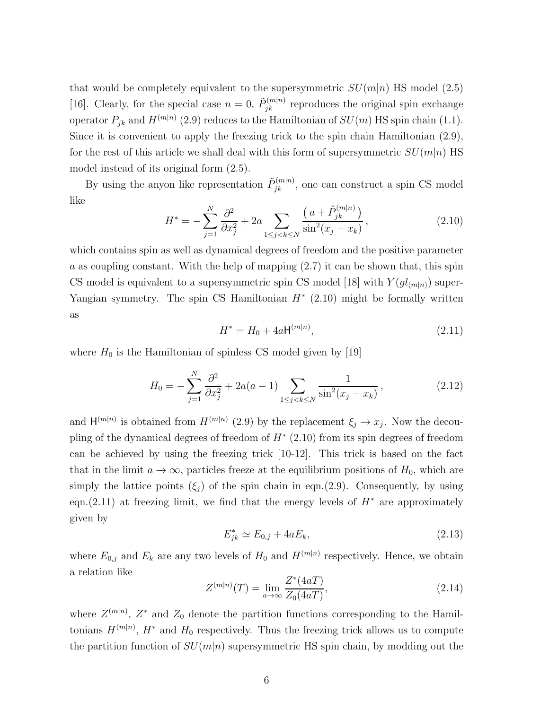that would be completely equivalent to the supersymmetric  $SU(m|n)$  HS model (2.5) [16]. Clearly, for the special case  $n = 0$ ,  $\tilde{P}_{jk}^{(m|n)}$  reproduces the original spin exchange operator  $P_{jk}$  and  $H^{(m|n)}$  (2.9) reduces to the Hamiltonian of  $SU(m)$  HS spin chain (1.1). Since it is convenient to apply the freezing trick to the spin chain Hamiltonian (2.9), for the rest of this article we shall deal with this form of supersymmetric  $SU(m|n)$  HS model instead of its original form (2.5).

By using the anyon like representation  $\tilde{P}_{jk}^{(m|n)}$ , one can construct a spin CS model like

$$
H^* = -\sum_{j=1}^{N} \frac{\partial^2}{\partial x_j^2} + 2a \sum_{1 \le j < k \le N} \frac{\left(a + \tilde{P}_{jk}^{(m|n)}\right)}{\sin^2(x_j - x_k)},\tag{2.10}
$$

which contains spin as well as dynamical degrees of freedom and the positive parameter a as coupling constant. With the help of mapping  $(2.7)$  it can be shown that, this spin CS model is equivalent to a supersymmetric spin CS model [18] with  $Y(gl_{(m|n)})$  super-Yangian symmetry. The spin CS Hamiltonian  $H^*$  (2.10) might be formally written as

$$
H^* = H_0 + 4a \mathsf{H}^{(m|n)},\tag{2.11}
$$

where  $H_0$  is the Hamiltonian of spinless CS model given by [19]

$$
H_0 = -\sum_{j=1}^{N} \frac{\partial^2}{\partial x_j^2} + 2a(a-1) \sum_{1 \le j < k \le N} \frac{1}{\sin^2(x_j - x_k)},\tag{2.12}
$$

and  $H^{(m|n)}$  is obtained from  $H^{(m|n)}$  (2.9) by the replacement  $\xi_j \to x_j$ . Now the decoupling of the dynamical degrees of freedom of  $H^*$  (2.10) from its spin degrees of freedom can be achieved by using the freezing trick [10-12]. This trick is based on the fact that in the limit  $a \to \infty$ , particles freeze at the equilibrium positions of  $H_0$ , which are simply the lattice points  $(\xi_j)$  of the spin chain in eqn.(2.9). Consequently, by using eqn.(2.11) at freezing limit, we find that the energy levels of  $H^*$  are approximately given by

$$
E_{jk}^* \simeq E_{0,j} + 4aE_k, \tag{2.13}
$$

where  $E_{0,j}$  and  $E_k$  are any two levels of  $H_0$  and  $H^{(m|n)}$  respectively. Hence, we obtain a relation like

$$
Z^{(m|n)}(T) = \lim_{a \to \infty} \frac{Z^*(4aT)}{Z_0(4aT)},
$$
\n(2.14)

where  $Z^{(m|n)}$ ,  $Z^*$  and  $Z_0$  denote the partition functions corresponding to the Hamiltonians  $H^{(m|n)}$ ,  $H^*$  and  $H_0$  respectively. Thus the freezing trick allows us to compute the partition function of  $SU(m|n)$  supersymmetric HS spin chain, by modding out the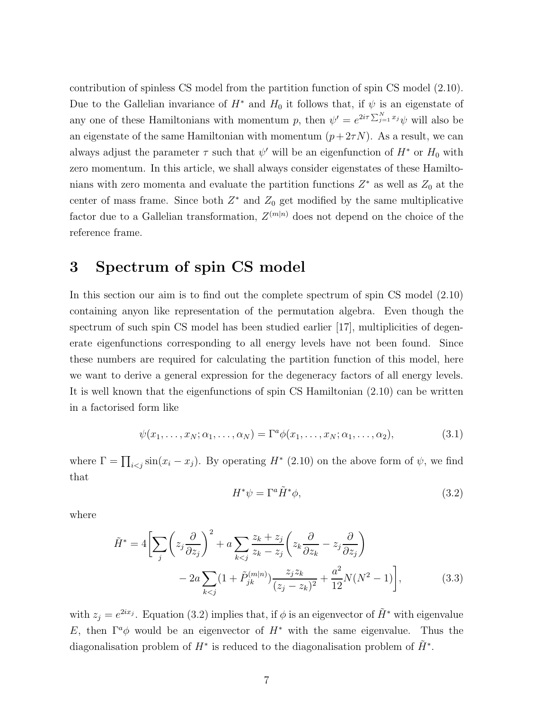contribution of spinless CS model from the partition function of spin CS model (2.10). Due to the Gallelian invariance of  $H^*$  and  $H_0$  it follows that, if  $\psi$  is an eigenstate of any one of these Hamiltonians with momentum p, then  $\psi' = e^{2i\tau \sum_{j=1}^{N} x_j} \psi$  will also be an eigenstate of the same Hamiltonian with momentum  $(p+2\tau N)$ . As a result, we can always adjust the parameter  $\tau$  such that  $\psi'$  will be an eigenfunction of  $H^*$  or  $H_0$  with zero momentum. In this article, we shall always consider eigenstates of these Hamiltonians with zero momenta and evaluate the partition functions  $Z^*$  as well as  $Z_0$  at the center of mass frame. Since both  $Z^*$  and  $Z_0$  get modified by the same multiplicative factor due to a Gallelian transformation,  $Z^{(m|n)}$  does not depend on the choice of the reference frame.

## 3 Spectrum of spin CS model

In this section our aim is to find out the complete spectrum of spin CS model (2.10) containing anyon like representation of the permutation algebra. Even though the spectrum of such spin CS model has been studied earlier [17], multiplicities of degenerate eigenfunctions corresponding to all energy levels have not been found. Since these numbers are required for calculating the partition function of this model, here we want to derive a general expression for the degeneracy factors of all energy levels. It is well known that the eigenfunctions of spin CS Hamiltonian (2.10) can be written in a factorised form like

$$
\psi(x_1,\ldots,x_N;\alpha_1,\ldots,\alpha_N)=\Gamma^a\phi(x_1,\ldots,x_N;\alpha_1,\ldots,\alpha_2),\qquad(3.1)
$$

where  $\Gamma = \prod_{i < j} \sin(x_i - x_j)$ . By operating  $H^*$  (2.10) on the above form of  $\psi$ , we find that

$$
H^*\psi = \Gamma^a \tilde{H}^*\phi,\tag{3.2}
$$

where

$$
\tilde{H}^* = 4\bigg[\sum_j \left(z_j \frac{\partial}{\partial z_j}\right)^2 + a \sum_{k < j} \frac{z_k + z_j}{z_k - z_j} \left(z_k \frac{\partial}{\partial z_k} - z_j \frac{\partial}{\partial z_j}\right) - 2a \sum_{k < j} (1 + \tilde{P}_{jk}^{(m|n)}) \frac{z_j z_k}{(z_j - z_k)^2} + \frac{a^2}{12} N(N^2 - 1)\bigg],\tag{3.3}
$$

with  $z_j = e^{2ix_j}$ . Equation (3.2) implies that, if  $\phi$  is an eigenvector of  $\tilde{H}^*$  with eigenvalue E, then  $\Gamma^a \phi$  would be an eigenvector of  $H^*$  with the same eigenvalue. Thus the diagonalisation problem of  $H^*$  is reduced to the diagonalisation problem of  $\tilde{H}^*$ .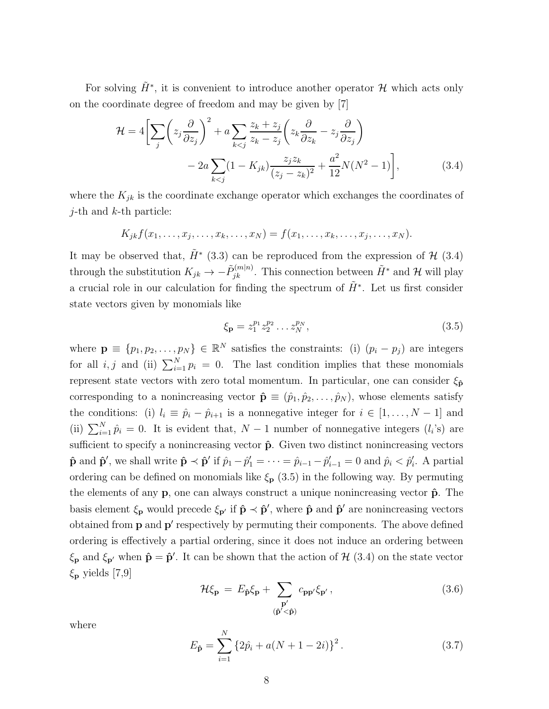For solving  $\tilde{H}^*$ , it is convenient to introduce another operator  $\mathcal H$  which acts only on the coordinate degree of freedom and may be given by [7]

$$
\mathcal{H} = 4\bigg[\sum_{j} \left(z_j \frac{\partial}{\partial z_j}\right)^2 + a \sum_{k < j} \frac{z_k + z_j}{z_k - z_j} \left(z_k \frac{\partial}{\partial z_k} - z_j \frac{\partial}{\partial z_j}\right) - 2a \sum_{k < j} (1 - K_{jk}) \frac{z_j z_k}{(z_j - z_k)^2} + \frac{a^2}{12} N(N^2 - 1)\bigg],\tag{3.4}
$$

where the  $K_{jk}$  is the coordinate exchange operator which exchanges the coordinates of  $j$ -th and  $k$ -th particle:

$$
K_{jk}f(x_1,\ldots,x_j,\ldots,x_k,\ldots,x_N)=f(x_1,\ldots,x_k,\ldots,x_j,\ldots,x_N).
$$

It may be observed that,  $\tilde{H}^*$  (3.3) can be reproduced from the expression of  $\mathcal{H}$  (3.4) through the substitution  $K_{jk} \to -\tilde{P}_{jk}^{(m|n)}$ . This connection between  $\tilde{H}^*$  and  $\mathcal{H}$  will play a crucial role in our calculation for finding the spectrum of  $\tilde{H}^*$ . Let us first consider state vectors given by monomials like

$$
\xi_{\mathbf{p}} = z_1^{p_1} z_2^{p_2} \dots z_N^{p_N},\tag{3.5}
$$

where  $\mathbf{p} \equiv \{p_1, p_2, \ldots, p_N\} \in \mathbb{R}^N$  satisfies the constraints: (i)  $(p_i - p_j)$  are integers for all *i*, *j* and (ii)  $\sum_{i=1}^{N} p_i = 0$ . The last condition implies that these monomials represent state vectors with zero total momentum. In particular, one can consider  $\xi_{\hat{p}}$ corresponding to a nonincreasing vector  $\hat{\mathbf{p}} \equiv (\hat{p}_1, \hat{p}_2, \dots, \hat{p}_N)$ , whose elements satisfy the conditions: (i)  $l_i \equiv \hat{p}_i - \hat{p}_{i+1}$  is a nonnegative integer for  $i \in [1, ..., N-1]$  and (ii)  $\sum_{i=1}^{N} \hat{p}_i = 0$ . It is evident that,  $N-1$  number of nonnegative integers  $(l_i)$  are sufficient to specify a nonincreasing vector  $\hat{p}$ . Given two distinct nonincreasing vectors  $\hat{\mathbf{p}}$  and  $\hat{\mathbf{p}}'$ , we shall write  $\hat{\mathbf{p}} \prec \hat{\mathbf{p}}'$  if  $\hat{p}_1 - \hat{p}'_1 = \cdots = \hat{p}_{i-1} - \hat{p}'_{i-1} = 0$  and  $\hat{p}_i < \hat{p}'_i$ . A partial ordering can be defined on monomials like  $\xi_{\mathbf{p}}$  (3.5) in the following way. By permuting the elements of any  $\mathbf{p}$ , one can always construct a unique nonincreasing vector  $\hat{\mathbf{p}}$ . The basis element  $\xi_p$  would precede  $\xi_{p'}$  if  $\hat{p} \prec \hat{p}'$ , where  $\hat{p}$  and  $\hat{p}'$  are nonincreasing vectors obtained from **p** and **p'** respectively by permuting their components. The above defined ordering is effectively a partial ordering, since it does not induce an ordering between  $\xi_{\mathbf{p}}$  and  $\xi_{\mathbf{p'}}$  when  $\hat{\mathbf{p}} = \hat{\mathbf{p}}'$ . It can be shown that the action of  $\mathcal{H}$  (3.4) on the state vector  $\xi_{\mathbf{p}}$  yields [7,9]

$$
\mathcal{H}\xi_{\mathbf{p}} = E_{\hat{\mathbf{p}}} \xi_{\mathbf{p}} + \sum_{\substack{\mathbf{p}' \\ (\hat{\mathbf{p}}' < \hat{\mathbf{p}})}} c_{\mathbf{p}\mathbf{p}'} \xi_{\mathbf{p}'},\tag{3.6}
$$

where

$$
E_{\hat{\mathbf{p}}} = \sum_{i=1}^{N} \left\{ 2\hat{p}_i + a(N+1-2i) \right\}^2.
$$
 (3.7)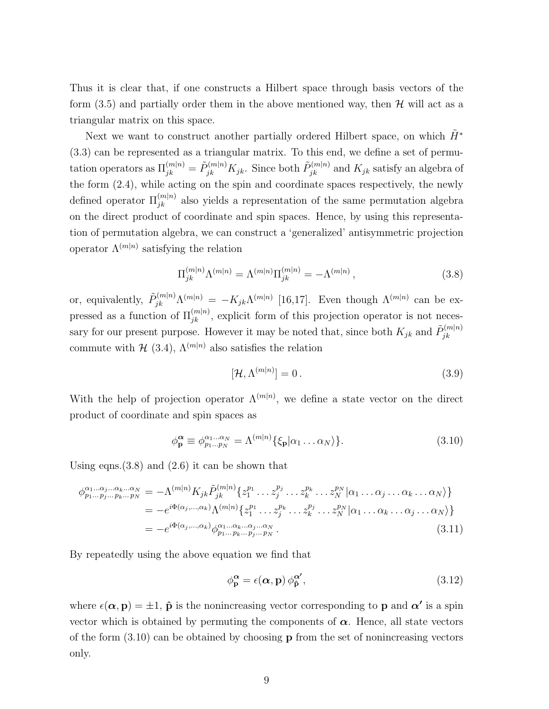Thus it is clear that, if one constructs a Hilbert space through basis vectors of the form  $(3.5)$  and partially order them in the above mentioned way, then  $\mathcal{H}$  will act as a triangular matrix on this space.

Next we want to construct another partially ordered Hilbert space, on which  $\tilde{H}^*$ (3.3) can be represented as a triangular matrix. To this end, we define a set of permutation operators as  $\Pi_{jk}^{(m|n)} = \tilde{P}_{jk}^{(m|n)} K_{jk}$ . Since both  $\tilde{P}_{jk}^{(m|n)}$  and  $K_{jk}$  satisfy an algebra of the form (2.4), while acting on the spin and coordinate spaces respectively, the newly defined operator  $\Pi_{jk}^{(m|n)}$  also yields a representation of the same permutation algebra on the direct product of coordinate and spin spaces. Hence, by using this representation of permutation algebra, we can construct a 'generalized' antisymmetric projection operator  $\Lambda^{(m|n)}$  satisfying the relation

$$
\Pi_{jk}^{(m|n)} \Lambda^{(m|n)} = \Lambda^{(m|n)} \Pi_{jk}^{(m|n)} = -\Lambda^{(m|n)}, \tag{3.8}
$$

or, equivalently,  $\tilde{P}_{jk}^{(m|n)} \Lambda^{(m|n)} = -K_{jk} \Lambda^{(m|n)}$  [16,17]. Even though  $\Lambda^{(m|n)}$  can be expressed as a function of  $\Pi_{jk}^{(m|n)}$ , explicit form of this projection operator is not necessary for our present purpose. However it may be noted that, since both  $K_{jk}$  and  $\tilde{P}_{ik}^{(m|n)}$ jk commute with  $\mathcal{H}$  (3.4),  $\Lambda^{(m|n)}$  also satisfies the relation

$$
[\mathcal{H}, \Lambda^{(m|n)}] = 0. \tag{3.9}
$$

With the help of projection operator  $\Lambda^{(m|n)}$ , we define a state vector on the direct product of coordinate and spin spaces as

$$
\phi_{\mathbf{p}}^{\alpha} \equiv \phi_{p_1...p_N}^{\alpha_1...\alpha_N} = \Lambda^{(m|n)} \{ \xi_{\mathbf{p}} | \alpha_1 \dots \alpha_N \} \}.
$$
\n(3.10)

Using eqns.  $(3.8)$  and  $(2.6)$  it can be shown that

$$
\phi_{p_1\ldots p_j\ldots p_k\ldots p_N}^{\alpha_1\ldots\alpha_j\ldots\alpha_k\ldots\alpha_N} = -\Lambda^{(m|n)} K_{jk} \tilde{P}_{jk}^{(m|n)} \{z_1^{p_1}\ldots z_j^{p_j}\ldots z_k^{p_k}\ldots z_N^{p_N} | \alpha_1\ldots\alpha_j\ldots\alpha_k\ldots\alpha_N \} \}
$$
\n
$$
= -e^{i\Phi(\alpha_j,\ldots,\alpha_k)} \Lambda^{(m|n)} \{z_1^{p_1}\ldots z_j^{p_k}\ldots z_k^{p_j}\ldots z_N^{p_N} | \alpha_1\ldots\alpha_k\ldots\alpha_j\ldots\alpha_N \} \}
$$
\n
$$
= -e^{i\Phi(\alpha_j,\ldots,\alpha_k)} \phi_{p_1\ldots p_k\ldots p_j\ldots p_N}^{\alpha_1\ldots\alpha_k\ldots\alpha_j\ldots\alpha_N} . \tag{3.11}
$$

By repeatedly using the above equation we find that

$$
\phi_{\mathbf{p}}^{\mathbf{\alpha}} = \epsilon(\mathbf{\alpha}, \mathbf{p}) \, \phi_{\hat{\mathbf{p}}}^{\mathbf{\alpha'}},\tag{3.12}
$$

where  $\epsilon(\alpha, \mathbf{p}) = \pm 1$ ,  $\hat{\mathbf{p}}$  is the nonincreasing vector corresponding to  $\mathbf{p}$  and  $\alpha'$  is a spin vector which is obtained by permuting the components of  $\alpha$ . Hence, all state vectors of the form  $(3.10)$  can be obtained by choosing **p** from the set of nonincreasing vectors only.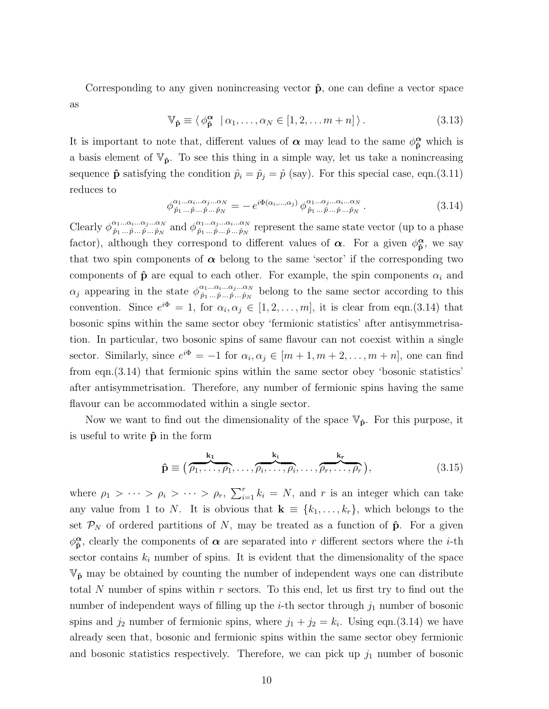Corresponding to any given nonincreasing vector  $\hat{p}$ , one can define a vector space as

$$
\mathbb{V}_{\hat{\mathbf{p}}} \equiv \langle \phi_{\hat{\mathbf{p}}}^{\alpha} \mid \alpha_1, \dots, \alpha_N \in [1, 2, \dots m + n] \rangle. \tag{3.13}
$$

It is important to note that, different values of  $\alpha$  may lead to the same  $\phi_{\hat{p}}^{\alpha}$  which is a basis element of  $\mathbb{V}_{\hat{\mathbf{p}}}$ . To see this thing in a simple way, let us take a nonincreasing sequence  $\hat{\mathbf{p}}$  satisfying the condition  $\hat{p}_i = \hat{p}_j = \hat{p}$  (say). For this special case, eqn.(3.11) reduces to

$$
\phi^{\alpha_1...\alpha_i...\alpha_j...\alpha_N}_{\hat{p}_1...\hat{p}_\dots\hat{p}_\dots\hat{p}_N} = -e^{i\Phi(\alpha_i,...,\alpha_j)} \phi^{\alpha_1...\alpha_j...\alpha_i...\alpha_N}_{\hat{p}_1...\hat{p}_\dots\hat{p}_N}.
$$
\n(3.14)

Clearly  $\phi_{\hat{n}_1...\hat{n}_m\hat{n}_m}^{\alpha_1...\alpha_i...\alpha_j...\alpha_N}$  $\hat{\rho}_1...\hat{\alpha}_i...\hat{\alpha}_j...\hat{\alpha}_N \text{ and } \phi_{\hat{p}_1...\hat{p}_...\hat{p}_...}\hat{\rho}_N$  $\hat{p}_1...\hat{q}_1...\hat{p}_m\hat{p}_N$  represent the same state vector (up to a phase factor), although they correspond to different values of  $\alpha$ . For a given  $\phi_{\hat{\mathbf{n}}}^{\alpha}$  $\frac{\alpha}{\hat{p}},$  we say that two spin components of  $\alpha$  belong to the same 'sector' if the corresponding two components of  $\hat{\mathbf{p}}$  are equal to each other. For example, the spin components  $\alpha_i$  and  $\alpha_j$  appearing in the state  $\phi^{\alpha_1...\alpha_i...\alpha_i...\alpha_N}_{\hat{p}_1...\hat{p}_m\hat{p}_N}$  $\hat{p}_1...\hat{q}_1...\hat{q}_N \hat{p}_N$  belong to the same sector according to this convention. Since  $e^{i\Phi} = 1$ , for  $\alpha_i, \alpha_j \in [1, 2, \ldots, m]$ , it is clear from eqn.(3.14) that bosonic spins within the same sector obey 'fermionic statistics' after antisymmetrisation. In particular, two bosonic spins of same flavour can not coexist within a single sector. Similarly, since  $e^{i\Phi} = -1$  for  $\alpha_i, \alpha_j \in [m+1, m+2, \ldots, m+n]$ , one can find from eqn.(3.14) that fermionic spins within the same sector obey 'bosonic statistics' after antisymmetrisation. Therefore, any number of fermionic spins having the same flavour can be accommodated within a single sector.

Now we want to find out the dimensionality of the space  $\mathbb{V}_{\hat{p}}$ . For this purpose, it is useful to write  $\hat{p}$  in the form

$$
\hat{\mathbf{p}} \equiv (\overbrace{\rho_1, \dots, \rho_1}^{k_1}, \dots, \overbrace{\rho_i, \dots, \rho_i}^{k_i}, \dots, \overbrace{\rho_r, \dots, \rho_r}^{k_r}),
$$
\n(3.15)

where  $\rho_1 > \cdots > \rho_i > \cdots > \rho_r$ ,  $\sum_{i=1}^r k_i = N$ , and r is an integer which can take any value from 1 to N. It is obvious that  $\mathbf{k} \equiv \{k_1, \ldots, k_r\}$ , which belongs to the set  $\mathcal{P}_N$  of ordered partitions of N, may be treated as a function of  $\hat{\mathbf{p}}$ . For a given  $\phi_{\mathbf{\hat{n}}}^{\boldsymbol{\alpha}}$  $\hat{\mathbf{p}}$ , clearly the components of  $\alpha$  are separated into r different sectors where the *i*-th sector contains  $k_i$  number of spins. It is evident that the dimensionality of the space  $\mathbb{V}_{p}$  may be obtained by counting the number of independent ways one can distribute total N number of spins within  $r$  sectors. To this end, let us first try to find out the number of independent ways of filling up the *i*-th sector through  $j_1$  number of bosonic spins and  $j_2$  number of fermionic spins, where  $j_1 + j_2 = k_i$ . Using eqn.(3.14) we have already seen that, bosonic and fermionic spins within the same sector obey fermionic and bosonic statistics respectively. Therefore, we can pick up  $j_1$  number of bosonic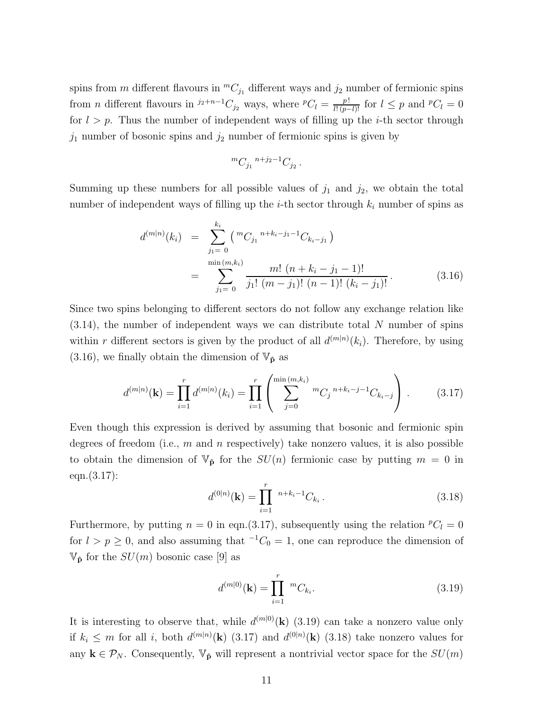spins from m different flavours in  ${}^mC_i$  different ways and  $j_2$  number of fermionic spins from *n* different flavours in  $j_2+n-1$ ,  $C_{j_2}$  ways, where  ${}^pC_l = \frac{p!}{l!(p-l)!}$  for  $l \leq p$  and  ${}^pC_l = 0$ for  $l > p$ . Thus the number of independent ways of filling up the *i*-th sector through  $j_1$  number of bosonic spins and  $j_2$  number of fermionic spins is given by

$$
~^mC_{j_1}~^{n+j_2-1}C_{j_2}\,.
$$

Summing up these numbers for all possible values of  $j_1$  and  $j_2$ , we obtain the total number of independent ways of filling up the *i*-th sector through  $k_i$  number of spins as

$$
d^{(m|n)}(k_i) = \sum_{j_1=0}^{k_i} {mC_{j_1}^{n+k_i-j_1-1}C_{k_i-j_1} \choose \min(m,k_i)} \newline = \sum_{j_1=0}^{\min(m,k_i)} \frac{m! (n+k_i-j_1-1)!}{j_1! (m-j_1)! (n-1)! (k_i-j_1)!}.
$$
 (3.16)

Since two spins belonging to different sectors do not follow any exchange relation like  $(3.14)$ , the number of independent ways we can distribute total N number of spins within r different sectors is given by the product of all  $d^{(m|n)}(k_i)$ . Therefore, by using  $(3.16)$ , we finally obtain the dimension of  $\mathbb{V}_{\hat{p}}$  as

$$
d^{(m|n)}(\mathbf{k}) = \prod_{i=1}^{r} d^{(m|n)}(k_i) = \prod_{i=1}^{r} \left( \sum_{j=0}^{\min(m,k_i)} {}^{m}C_j {}^{n+k_i-j-1}C_{k_i-j} \right) . \tag{3.17}
$$

Even though this expression is derived by assuming that bosonic and fermionic spin degrees of freedom (i.e.,  $m$  and  $n$  respectively) take nonzero values, it is also possible to obtain the dimension of  $\mathbb{V}_{\hat{\mathbf{p}}}$  for the  $SU(n)$  fermionic case by putting  $m = 0$  in eqn.(3.17):

$$
d^{(0|n)}(\mathbf{k}) = \prod_{i=1}^{r} {}^{n+k_i-1}C_{k_i}.
$$
 (3.18)

Furthermore, by putting  $n = 0$  in eqn.(3.17), subsequently using the relation  ${}^pC_l = 0$ for  $l > p \ge 0$ , and also assuming that <sup>-1</sup>C<sub>0</sub> = 1, one can reproduce the dimension of  $\mathbb{V}_{\hat{\mathbf{p}}}$  for the  $SU(m)$  bosonic case [9] as

$$
d^{(m|0)}(\mathbf{k}) = \prod_{i=1}^{r} {}^{m}C_{k_i}.
$$
\n(3.19)

It is interesting to observe that, while  $d^{(m|0)}(\mathbf{k})$  (3.19) can take a nonzero value only if  $k_i \leq m$  for all i, both  $d^{(m|n)}(\mathbf{k})$  (3.17) and  $d^{(0|n)}(\mathbf{k})$  (3.18) take nonzero values for any  $\mathbf{k} \in \mathcal{P}_N$ . Consequently,  $\mathbb{V}_{\hat{\mathbf{p}}}$  will represent a nontrivial vector space for the  $SU(m)$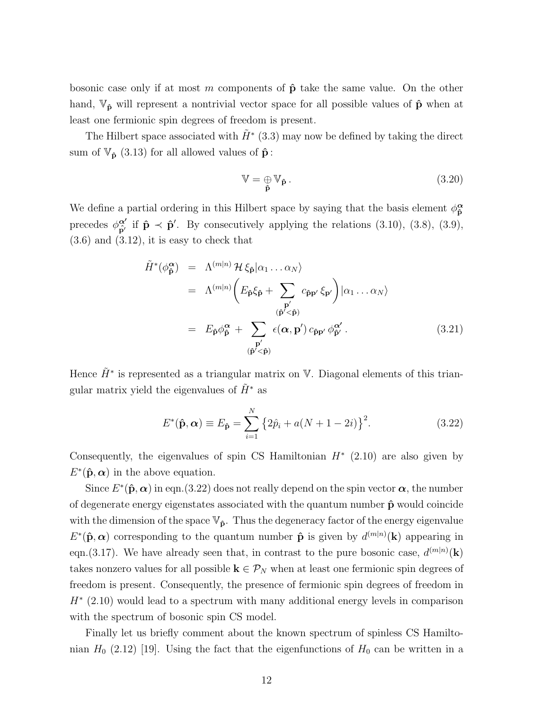bosonic case only if at most m components of  $\hat{p}$  take the same value. On the other hand,  $\mathbb{V}_{\hat{\mathbf{p}}}$  will represent a nontrivial vector space for all possible values of  $\hat{\mathbf{p}}$  when at least one fermionic spin degrees of freedom is present.

The Hilbert space associated with  $\tilde{H}^*$  (3.3) may now be defined by taking the direct sum of  $\mathbb{V}_{\hat{\mathbf{p}}}$  (3.13) for all allowed values of  $\hat{\mathbf{p}}$ :

$$
\mathbb{V} = \underset{\hat{\mathbf{p}}}{\oplus} \mathbb{V}_{\hat{\mathbf{p}}} \,. \tag{3.20}
$$

We define a partial ordering in this Hilbert space by saying that the basis element  $\phi_{\hat{\mathbf{n}}}^{\alpha}$ ˆp precedes  $\phi_{\hat{\mathbf{n}}'}^{\alpha'}$  $\hat{\mathbf{p}}'$  if  $\hat{\mathbf{p}} \prec \hat{\mathbf{p}}'$ . By consecutively applying the relations (3.10), (3.8), (3.9),  $(3.6)$  and  $(3.12)$ , it is easy to check that

$$
\tilde{H}^*(\phi_{\tilde{\mathbf{p}}}^{\alpha}) = \Lambda^{(m|n)} \mathcal{H} \xi_{\hat{\mathbf{p}}} |\alpha_1 \dots \alpha_N\rangle
$$
\n
$$
= \Lambda^{(m|n)} \left( E_{\hat{\mathbf{p}}} \xi_{\hat{\mathbf{p}}} + \sum_{\begin{subarray}{c} \mathbf{p}' \\ (\hat{\mathbf{p}}' < \hat{\mathbf{p}}) \end{subarray}} c_{\hat{\mathbf{p}}\mathbf{p}'} \xi_{\mathbf{p}'} \right) |\alpha_1 \dots \alpha_N\rangle
$$
\n
$$
= E_{\hat{\mathbf{p}}} \phi_{\hat{\mathbf{p}}}^{\alpha} + \sum_{\begin{subarray}{c} \mathbf{p}' \\ (\hat{\mathbf{p}}' < \hat{\mathbf{p}}) \end{subarray}} \epsilon(\alpha, \mathbf{p}') c_{\hat{\mathbf{p}}\mathbf{p}'} \phi_{\hat{\mathbf{p}}}^{\alpha'}.
$$
\n(3.21)

Hence  $\tilde{H}^*$  is represented as a triangular matrix on V. Diagonal elements of this triangular matrix yield the eigenvalues of  $\tilde{H}^*$  as

$$
E^*(\hat{\mathbf{p}}, \alpha) \equiv E_{\hat{\mathbf{p}}} = \sum_{i=1}^N \left\{ 2\hat{p}_i + a(N+1-2i) \right\}^2.
$$
 (3.22)

Consequently, the eigenvalues of spin CS Hamiltonian  $H^*$  (2.10) are also given by  $E^{\ast}(\hat{\mathbf{p}}, \alpha)$  in the above equation.

Since  $E^{\ast}(\hat{\mathbf{p}}, \alpha)$  in eqn.(3.22) does not really depend on the spin vector  $\alpha$ , the number of degenerate energy eigenstates associated with the quantum number  $\hat{p}$  would coincide with the dimension of the space  $\mathbb{V}_{\hat{\mathbf{p}}}$ . Thus the degeneracy factor of the energy eigenvalue  $E^*(\hat{\mathbf{p}}, \alpha)$  corresponding to the quantum number  $\hat{\mathbf{p}}$  is given by  $d^{(m|n)}(\mathbf{k})$  appearing in eqn.(3.17). We have already seen that, in contrast to the pure bosonic case,  $d^{(m|n)}(\mathbf{k})$ takes nonzero values for all possible  $\mathbf{k} \in \mathcal{P}_N$  when at least one fermionic spin degrees of freedom is present. Consequently, the presence of fermionic spin degrees of freedom in  $H^*$  (2.10) would lead to a spectrum with many additional energy levels in comparison with the spectrum of bosonic spin CS model.

Finally let us briefly comment about the known spectrum of spinless CS Hamiltonian  $H_0$  (2.12) [19]. Using the fact that the eigenfunctions of  $H_0$  can be written in a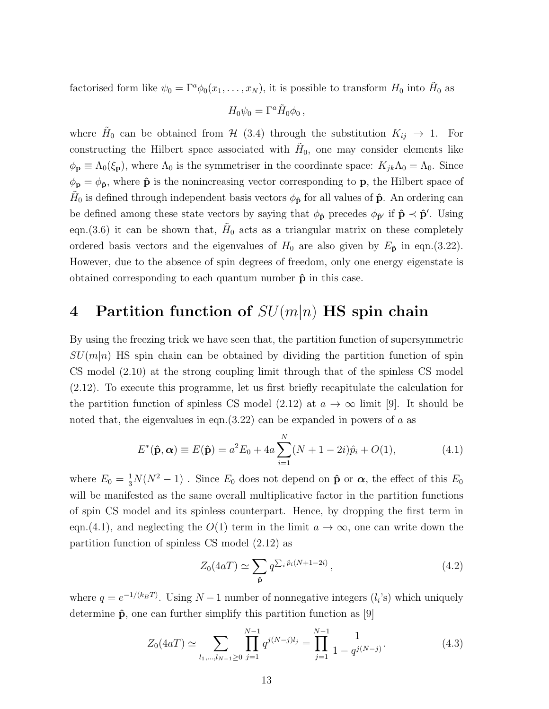factorised form like  $\psi_0 = \Gamma^a \phi_0(x_1, \dots, x_N)$ , it is possible to transform  $H_0$  into  $H_0$  as

$$
H_0\psi_0=\Gamma^a\tilde{H}_0\phi_0\,,
$$

where  $H_0$  can be obtained from  $H(3.4)$  through the substitution  $K_{ij} \rightarrow 1$ . For constructing the Hilbert space associated with  $H_0$ , one may consider elements like  $\phi_{\mathbf{p}} \equiv \Lambda_0(\xi_{\mathbf{p}})$ , where  $\Lambda_0$  is the symmetriser in the coordinate space:  $K_{jk}\Lambda_0 = \Lambda_0$ . Since  $\phi_{\bf p} = \phi_{\bf \hat{p}}$ , where  $\hat{\bf p}$  is the nonincreasing vector corresponding to **p**, the Hilbert space of  $\tilde{H}_0$  is defined through independent basis vectors  $\phi_{\bf \hat{p}}$  for all values of  $\bf \hat{p}$ . An ordering can be defined among these state vectors by saying that  $\phi_{\hat{\mathbf{p}}}$  precedes  $\phi_{\hat{\mathbf{p}}'}$  if  $\hat{\mathbf{p}} \prec \hat{\mathbf{p}}'$ . Using eqn.(3.6) it can be shown that,  $H_0$  acts as a triangular matrix on these completely ordered basis vectors and the eigenvalues of  $H_0$  are also given by  $E_{\hat{\mathbf{p}}}$  in eqn.(3.22). However, due to the absence of spin degrees of freedom, only one energy eigenstate is obtained corresponding to each quantum number  $\hat{p}$  in this case.

# 4 Partition function of  $SU(m|n)$  HS spin chain

By using the freezing trick we have seen that, the partition function of supersymmetric  $SU(m|n)$  HS spin chain can be obtained by dividing the partition function of spin CS model (2.10) at the strong coupling limit through that of the spinless CS model (2.12). To execute this programme, let us first briefly recapitulate the calculation for the partition function of spinless CS model (2.12) at  $a \to \infty$  limit [9]. It should be noted that, the eigenvalues in eqn.  $(3.22)$  can be expanded in powers of a as

$$
E^*(\hat{\mathbf{p}}, \alpha) \equiv E(\hat{\mathbf{p}}) = a^2 E_0 + 4a \sum_{i=1}^N (N + 1 - 2i)\hat{p}_i + O(1), \tag{4.1}
$$

where  $E_0 = \frac{1}{3}N(N^2 - 1)$ . Since  $E_0$  does not depend on  $\hat{\mathbf{p}}$  or  $\alpha$ , the effect of this  $E_0$ will be manifested as the same overall multiplicative factor in the partition functions of spin CS model and its spinless counterpart. Hence, by dropping the first term in eqn.(4.1), and neglecting the  $O(1)$  term in the limit  $a \to \infty$ , one can write down the partition function of spinless CS model (2.12) as

$$
Z_0(4aT) \simeq \sum_{\hat{\mathbf{p}}} q^{\sum_i \hat{p}_i(N+1-2i)}, \qquad (4.2)
$$

where  $q = e^{-1/(k_B T)}$ . Using  $N - 1$  number of nonnegative integers  $(l_i)$  which uniquely determine  $\hat{\mathbf{p}}$ , one can further simplify this partition function as [9]

$$
Z_0(4aT) \simeq \sum_{l_1,\dots,l_{N-1}\geq 0} \prod_{j=1}^{N-1} q^{j(N-j)l_j} = \prod_{j=1}^{N-1} \frac{1}{1 - q^{j(N-j)}}.
$$
 (4.3)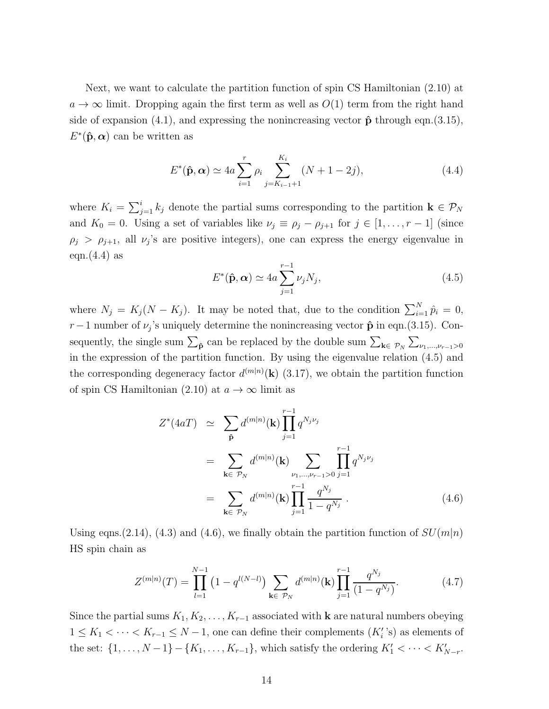Next, we want to calculate the partition function of spin CS Hamiltonian (2.10) at  $a \to \infty$  limit. Dropping again the first term as well as  $O(1)$  term from the right hand side of expansion (4.1), and expressing the nonincreasing vector  $\hat{\mathbf{p}}$  through eqn.(3.15),  $E^*(\hat{\mathbf{p}}, \boldsymbol{\alpha})$  can be written as

$$
E^*(\hat{\mathbf{p}}, \alpha) \simeq 4a \sum_{i=1}^r \rho_i \sum_{j=K_{i-1}+1}^{K_i} (N+1-2j), \qquad (4.4)
$$

where  $K_i = \sum_{j=1}^i k_j$  denote the partial sums corresponding to the partition  $\mathbf{k} \in \mathcal{P}_N$ and  $K_0 = 0$ . Using a set of variables like  $\nu_j \equiv \rho_j - \rho_{j+1}$  for  $j \in [1, \ldots, r-1]$  (since  $\rho_j > \rho_{j+1}$ , all  $\nu_j$ 's are positive integers), one can express the energy eigenvalue in eqn. $(4.4)$  as

$$
E^*(\hat{\mathbf{p}}, \alpha) \simeq 4a \sum_{j=1}^{r-1} \nu_j N_j,
$$
\n(4.5)

where  $N_j = K_j (N - K_j)$ . It may be noted that, due to the condition  $\sum_{i=1}^{N} \hat{p}_i = 0$ , r – 1 number of  $\nu_j$ 's uniquely determine the nonincreasing vector  $\hat{\mathbf{p}}$  in eqn.(3.15). Consequently, the single sum  $\sum_{\hat{p}}$  can be replaced by the double sum  $\sum_{k \in \mathcal{P}_N} \sum_{\nu_1, ..., \nu_{r-1} > 0}$ in the expression of the partition function. By using the eigenvalue relation (4.5) and the corresponding degeneracy factor  $d^{(m|n)}(\mathbf{k})$  (3.17), we obtain the partition function of spin CS Hamiltonian (2.10) at  $a \to \infty$  limit as

$$
Z^*(4aT) \simeq \sum_{\hat{\mathbf{p}}} d^{(m|n)}(\mathbf{k}) \prod_{j=1}^{r-1} q^{N_j \nu_j}
$$
  
\n
$$
= \sum_{\mathbf{k} \in \mathcal{P}_N} d^{(m|n)}(\mathbf{k}) \sum_{\nu_1, ..., \nu_{r-1} > 0} \prod_{j=1}^{r-1} q^{N_j \nu_j}
$$
  
\n
$$
= \sum_{\mathbf{k} \in \mathcal{P}_N} d^{(m|n)}(\mathbf{k}) \prod_{j=1}^{r-1} \frac{q^{N_j}}{1 - q^{N_j}}.
$$
 (4.6)

Using eqns. (2.14), (4.3) and (4.6), we finally obtain the partition function of  $SU(m|n)$ HS spin chain as

$$
Z^{(m|n)}(T) = \prod_{l=1}^{N-1} (1 - q^{l(N-l)}) \sum_{\mathbf{k} \in \mathcal{P}_N} d^{(m|n)}(\mathbf{k}) \prod_{j=1}^{r-1} \frac{q^{N_j}}{(1 - q^{N_j})}.
$$
 (4.7)

Since the partial sums  $K_1, K_2, \ldots, K_{r-1}$  associated with **k** are natural numbers obeying  $1 \leq K_1 < \cdots < K_{r-1} \leq N-1$ , one can define their complements  $(K_i')$  as elements of the set:  $\{1, ..., N-1\} - \{K_1, ..., K_{r-1}\}$ , which satisfy the ordering  $K'_1 < \cdots < K'_{N-r}$ .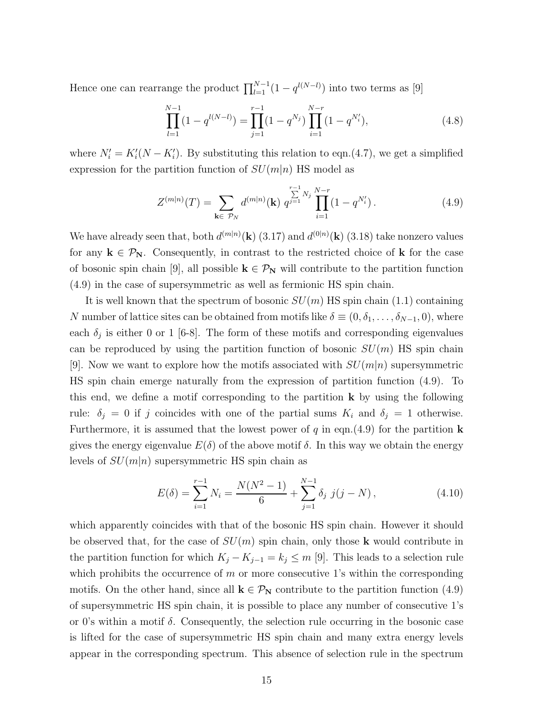Hence one can rearrange the product  $\prod_{l=1}^{N-1} (1 - q^{l(N-l)})$  into two terms as [9]

$$
\prod_{l=1}^{N-1} (1 - q^{l(N-l)}) = \prod_{j=1}^{r-1} (1 - q^{N_j}) \prod_{i=1}^{N-r} (1 - q^{N'_i}),
$$
\n(4.8)

where  $N'_{i} = K'_{i}(N - K'_{i})$ . By substituting this relation to eqn.(4.7), we get a simplified expression for the partition function of  $SU(m|n)$  HS model as

$$
Z^{(m|n)}(T) = \sum_{\mathbf{k} \in \mathcal{P}_N} d^{(m|n)}(\mathbf{k}) \ q^{j=1} \prod_{i=1}^{r-1} (1 - q^{N'_i}). \tag{4.9}
$$

We have already seen that, both  $d^{(m|n)}(\mathbf{k})$  (3.17) and  $d^{(0|n)}(\mathbf{k})$  (3.18) take nonzero values for any  $k \in \mathcal{P}_N$ . Consequently, in contrast to the restricted choice of k for the case of bosonic spin chain [9], all possible  $k \in \mathcal{P}_N$  will contribute to the partition function (4.9) in the case of supersymmetric as well as fermionic HS spin chain.

It is well known that the spectrum of bosonic  $SU(m)$  HS spin chain (1.1) containing N number of lattice sites can be obtained from motifs like  $\delta \equiv (0, \delta_1, \ldots, \delta_{N-1}, 0)$ , where each  $\delta_j$  is either 0 or 1 [6-8]. The form of these motifs and corresponding eigenvalues can be reproduced by using the partition function of bosonic  $SU(m)$  HS spin chain [9]. Now we want to explore how the motifs associated with  $SU(m|n)$  supersymmetric HS spin chain emerge naturally from the expression of partition function (4.9). To this end, we define a motif corresponding to the partition  $\bf{k}$  by using the following rule:  $\delta_j = 0$  if j coincides with one of the partial sums  $K_i$  and  $\delta_j = 1$  otherwise. Furthermore, it is assumed that the lowest power of q in eqn.(4.9) for the partition **k** gives the energy eigenvalue  $E(\delta)$  of the above motif  $\delta$ . In this way we obtain the energy levels of  $SU(m|n)$  supersymmetric HS spin chain as

$$
E(\delta) = \sum_{i=1}^{r-1} N_i = \frac{N(N^2 - 1)}{6} + \sum_{j=1}^{N-1} \delta_j \ j(j - N), \tag{4.10}
$$

which apparently coincides with that of the bosonic HS spin chain. However it should be observed that, for the case of  $SU(m)$  spin chain, only those **k** would contribute in the partition function for which  $K_j - K_{j-1} = k_j \leq m$  [9]. This leads to a selection rule which prohibits the occurrence of  $m$  or more consecutive 1's within the corresponding motifs. On the other hand, since all  $\mathbf{k} \in \mathcal{P}_{\mathbf{N}}$  contribute to the partition function (4.9) of supersymmetric HS spin chain, it is possible to place any number of consecutive 1's or 0's within a motif  $\delta$ . Consequently, the selection rule occurring in the bosonic case is lifted for the case of supersymmetric HS spin chain and many extra energy levels appear in the corresponding spectrum. This absence of selection rule in the spectrum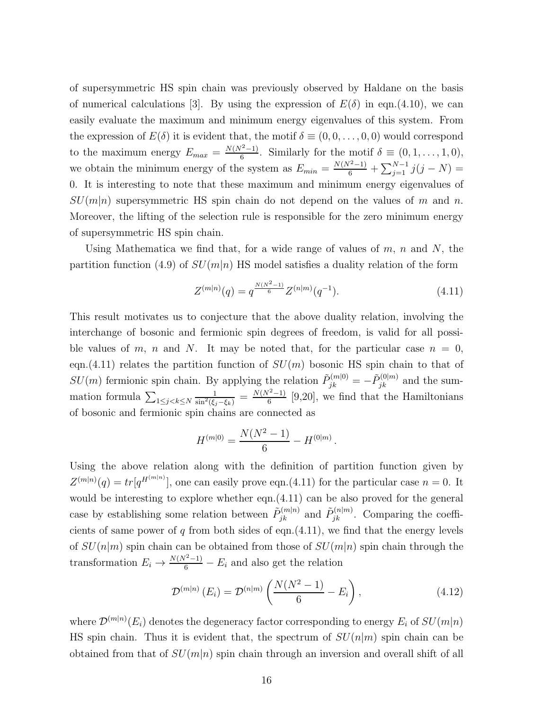of supersymmetric HS spin chain was previously observed by Haldane on the basis of numerical calculations [3]. By using the expression of  $E(\delta)$  in eqn.(4.10), we can easily evaluate the maximum and minimum energy eigenvalues of this system. From the expression of  $E(\delta)$  it is evident that, the motif  $\delta \equiv (0,0,\ldots,0,0)$  would correspond to the maximum energy  $E_{max} = \frac{N(N^2-1)}{6}$  $\frac{(-1)^{2}-1}{6}$ . Similarly for the motif  $\delta \equiv (0,1,\ldots,1,0),$ we obtain the minimum energy of the system as  $E_{min} = \frac{N(N^2-1)}{6} + \sum_{j=1}^{N-1} j(j-N) =$ 0. It is interesting to note that these maximum and minimum energy eigenvalues of  $SU(m|n)$  supersymmetric HS spin chain do not depend on the values of m and n. Moreover, the lifting of the selection rule is responsible for the zero minimum energy of supersymmetric HS spin chain.

Using Mathematica we find that, for a wide range of values of  $m$ ,  $n$  and  $N$ , the partition function (4.9) of  $SU(m|n)$  HS model satisfies a duality relation of the form

$$
Z^{(m|n)}(q) = q^{\frac{N(N^2-1)}{6}} Z^{(n|m)}(q^{-1}).
$$
\n(4.11)

.

This result motivates us to conjecture that the above duality relation, involving the interchange of bosonic and fermionic spin degrees of freedom, is valid for all possible values of m, n and N. It may be noted that, for the particular case  $n = 0$ , eqn.(4.11) relates the partition function of  $SU(m)$  bosonic HS spin chain to that of  $SU(m)$  fermionic spin chain. By applying the relation  $\tilde{P}_{jk}^{(m|0)} = -\tilde{P}_{jk}^{(0|m)}$  and the summation formula  $\sum_{1 \leq j < k \leq N}$  $\frac{1}{\sin^2(\xi_j-\xi_k)} = \frac{N(N^2-1)}{6}$  $\frac{(-1)}{6}$  [9,20], we find that the Hamiltonians of bosonic and fermionic spin chains are connected as

$$
H^{(m|0)} = \frac{N(N^2 - 1)}{6} - H^{(0|m)}
$$

Using the above relation along with the definition of partition function given by  $Z^{(m|n)}(q) = tr[q^{H^{(m|n)}}]$ , one can easily prove eqn.(4.11) for the particular case  $n = 0$ . It would be interesting to explore whether eqn.(4.11) can be also proved for the general case by establishing some relation between  $\tilde{P}_{jk}^{(m|n)}$  and  $\tilde{P}_{jk}^{(n|m)}$ . Comparing the coefficients of same power of  $q$  from both sides of eqn.(4.11), we find that the energy levels of  $SU(n|m)$  spin chain can be obtained from those of  $SU(m|n)$  spin chain through the transformation  $E_i \to \frac{N(N^2-1)}{6} - E_i$  and also get the relation

$$
\mathcal{D}^{(m|n)}(E_i) = \mathcal{D}^{(n|m)}\left(\frac{N(N^2-1)}{6} - E_i\right),
$$
\n(4.12)

where  $\mathcal{D}^{(m|n)}(E_i)$  denotes the degeneracy factor corresponding to energy  $E_i$  of  $SU(m|n)$ HS spin chain. Thus it is evident that, the spectrum of  $SU(n|m)$  spin chain can be obtained from that of  $SU(m|n)$  spin chain through an inversion and overall shift of all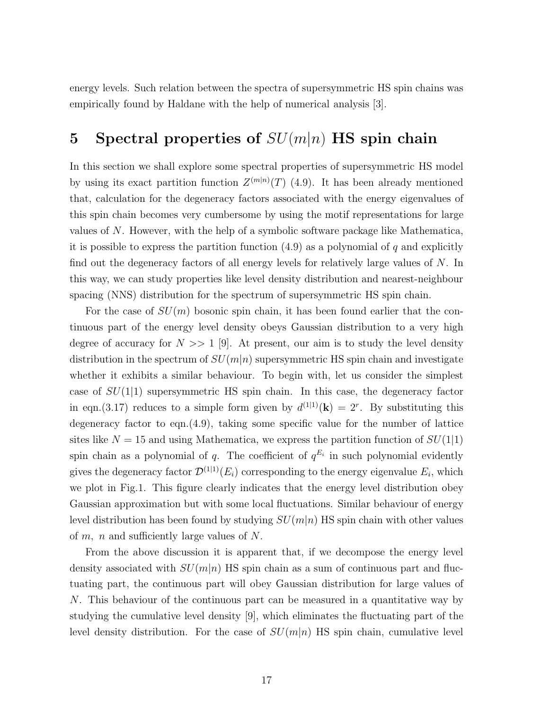energy levels. Such relation between the spectra of supersymmetric HS spin chains was empirically found by Haldane with the help of numerical analysis [3].

## 5 Spectral properties of  $SU(m|n)$  HS spin chain

In this section we shall explore some spectral properties of supersymmetric HS model by using its exact partition function  $Z^{(m|n)}(T)$  (4.9). It has been already mentioned that, calculation for the degeneracy factors associated with the energy eigenvalues of this spin chain becomes very cumbersome by using the motif representations for large values of N. However, with the help of a symbolic software package like Mathematica, it is possible to express the partition function  $(4.9)$  as a polynomial of q and explicitly find out the degeneracy factors of all energy levels for relatively large values of N. In this way, we can study properties like level density distribution and nearest-neighbour spacing (NNS) distribution for the spectrum of supersymmetric HS spin chain.

For the case of  $SU(m)$  bosonic spin chain, it has been found earlier that the continuous part of the energy level density obeys Gaussian distribution to a very high degree of accuracy for  $N \gg 1$  [9]. At present, our aim is to study the level density distribution in the spectrum of  $SU(m|n)$  supersymmetric HS spin chain and investigate whether it exhibits a similar behaviour. To begin with, let us consider the simplest case of  $SU(1|1)$  supersymmetric HS spin chain. In this case, the degeneracy factor in eqn.(3.17) reduces to a simple form given by  $d^{(1|1)}(\mathbf{k}) = 2^r$ . By substituting this degeneracy factor to eqn.(4.9), taking some specific value for the number of lattice sites like  $N = 15$  and using Mathematica, we express the partition function of  $SU(1|1)$ spin chain as a polynomial of q. The coefficient of  $q^{E_i}$  in such polynomial evidently gives the degeneracy factor  $\mathcal{D}^{(1|1)}(E_i)$  corresponding to the energy eigenvalue  $E_i$ , which we plot in Fig.1. This figure clearly indicates that the energy level distribution obey Gaussian approximation but with some local fluctuations. Similar behaviour of energy level distribution has been found by studying  $SU(m|n)$  HS spin chain with other values of  $m$ ,  $n$  and sufficiently large values of  $N$ .

From the above discussion it is apparent that, if we decompose the energy level density associated with  $SU(m|n)$  HS spin chain as a sum of continuous part and fluctuating part, the continuous part will obey Gaussian distribution for large values of N. This behaviour of the continuous part can be measured in a quantitative way by studying the cumulative level density [9], which eliminates the fluctuating part of the level density distribution. For the case of  $SU(m|n)$  HS spin chain, cumulative level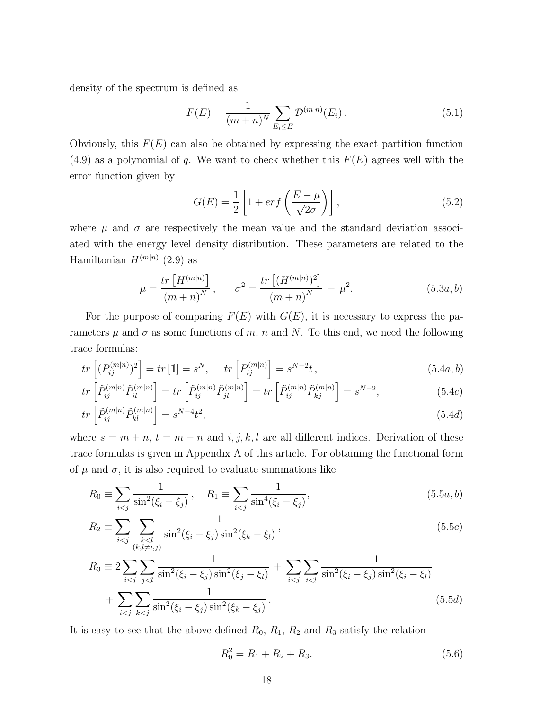density of the spectrum is defined as

$$
F(E) = \frac{1}{(m+n)^N} \sum_{E_i \le E} \mathcal{D}^{(m|n)}(E_i).
$$
 (5.1)

Obviously, this  $F(E)$  can also be obtained by expressing the exact partition function  $(4.9)$  as a polynomial of q. We want to check whether this  $F(E)$  agrees well with the error function given by

$$
G(E) = \frac{1}{2} \left[ 1 + erf\left(\frac{E - \mu}{\sqrt{2\sigma}}\right) \right],
$$
\n(5.2)

where  $\mu$  and  $\sigma$  are respectively the mean value and the standard deviation associated with the energy level density distribution. These parameters are related to the Hamiltonian  $H^{(m|n)}$  (2.9) as

$$
\mu = \frac{tr\left[H^{(m|n)}\right]}{(m+n)^N}, \qquad \sigma^2 = \frac{tr\left[(H^{(m|n)})^2\right]}{(m+n)^N} - \mu^2. \tag{5.3a, b}
$$

For the purpose of comparing  $F(E)$  with  $G(E)$ , it is necessary to express the parameters  $\mu$  and  $\sigma$  as some functions of m, n and N. To this end, we need the following trace formulas:

$$
tr\left[ (\tilde{P}_{ij}^{(m|n)})^2 \right] = tr\left[1\right] = s^N, \quad tr\left[ \tilde{P}_{ij}^{(m|n)} \right] = s^{N-2}t, \tag{5.4a, b}
$$

$$
tr\left[\tilde{P}_{ij}^{(m|n)}\tilde{P}_{il}^{(m|n)}\right] = tr\left[\tilde{P}_{ij}^{(m|n)}\tilde{P}_{jl}^{(m|n)}\right] = tr\left[\tilde{P}_{ij}^{(m|n)}\tilde{P}_{kj}^{(m|n)}\right] = s^{N-2},\tag{5.4c}
$$

$$
tr\left[\tilde{P}_{ij}^{(m|n)}\tilde{P}_{kl}^{(m|n)}\right] = s^{N-4}t^2,
$$
\n(5.4d)

where  $s = m + n$ ,  $t = m - n$  and  $i, j, k, l$  are all different indices. Derivation of these trace formulas is given in Appendix A of this article. For obtaining the functional form of  $\mu$  and  $\sigma$ , it is also required to evaluate summations like

$$
R_0 \equiv \sum_{i < j} \frac{1}{\sin^2(\xi_i - \xi_j)}, \quad R_1 \equiv \sum_{i < j} \frac{1}{\sin^4(\xi_i - \xi_j)},\tag{5.5a, b}
$$

$$
R_2 \equiv \sum_{i < j} \sum_{\substack{k < l \\ (k, l \neq i, j)}} \frac{1}{\sin^2(\xi_i - \xi_j) \sin^2(\xi_k - \xi_l)},\tag{5.5c}
$$

$$
R_3 \equiv 2 \sum_{i < j} \sum_{j < l} \frac{1}{\sin^2(\xi_i - \xi_j)\sin^2(\xi_j - \xi_l)} + \sum_{i < j} \sum_{i < l} \frac{1}{\sin^2(\xi_i - \xi_j)\sin^2(\xi_i - \xi_l)} + \sum_{i < j} \sum_{k < j} \frac{1}{\sin^2(\xi_i - \xi_j)\sin^2(\xi_k - \xi_j)}.
$$
\n(5.5d)

It is easy to see that the above defined  $R_0$ ,  $R_1$ ,  $R_2$  and  $R_3$  satisfy the relation

$$
R_0^2 = R_1 + R_2 + R_3. \tag{5.6}
$$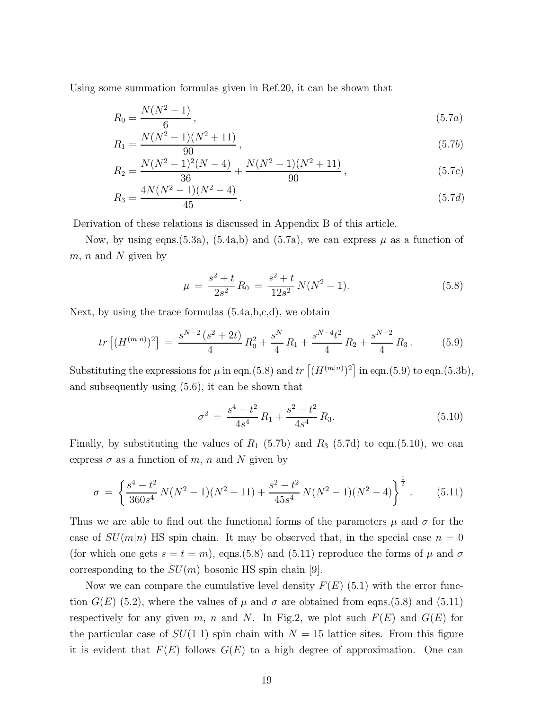Using some summation formulas given in Ref.20, it can be shown that

$$
R_0 = \frac{N(N^2 - 1)}{6},\tag{5.7a}
$$

$$
R_1 = \frac{N(N^2 - 1)(N^2 + 11)}{90},\tag{5.7b}
$$

$$
R_2 = \frac{N(N^2 - 1)^2(N - 4)}{36} + \frac{N(N^2 - 1)(N^2 + 11)}{90},
$$
\n(5.7c)

$$
R_3 = \frac{4N(N^2 - 1)(N^2 - 4)}{45}.
$$
\n(5.7d)

Derivation of these relations is discussed in Appendix B of this article.

Now, by using eqns.(5.3a), (5.4a,b) and (5.7a), we can express  $\mu$  as a function of  $m, n$  and N given by

$$
\mu = \frac{s^2 + t}{2s^2} R_0 = \frac{s^2 + t}{12s^2} N(N^2 - 1).
$$
\n(5.8)

Next, by using the trace formulas (5.4a,b,c,d), we obtain

$$
tr\left[ (H^{(m|n)})^2 \right] = \frac{s^{N-2} \left( s^2 + 2t \right)}{4} R_0^2 + \frac{s^N}{4} R_1 + \frac{s^{N-4} t^2}{4} R_2 + \frac{s^{N-2}}{4} R_3. \tag{5.9}
$$

Substituting the expressions for  $\mu$  in eqn.(5.8) and  $tr [(H^{(m|n)})^2]$  in eqn.(5.9) to eqn.(5.3b), and subsequently using (5.6), it can be shown that

$$
\sigma^2 = \frac{s^4 - t^2}{4s^4} R_1 + \frac{s^2 - t^2}{4s^4} R_3. \tag{5.10}
$$

Finally, by substituting the values of  $R_1$  (5.7b) and  $R_3$  (5.7d) to eqn.(5.10), we can express  $\sigma$  as a function of m, n and N given by

$$
\sigma = \left\{ \frac{s^4 - t^2}{360s^4} N(N^2 - 1)(N^2 + 11) + \frac{s^2 - t^2}{45s^4} N(N^2 - 1)(N^2 - 4) \right\}^{\frac{1}{2}}.
$$
 (5.11)

Thus we are able to find out the functional forms of the parameters  $\mu$  and  $\sigma$  for the case of  $SU(m|n)$  HS spin chain. It may be observed that, in the special case  $n=0$ (for which one gets  $s = t = m$ ), eqns.(5.8) and (5.11) reproduce the forms of  $\mu$  and  $\sigma$ corresponding to the  $SU(m)$  bosonic HS spin chain [9].

Now we can compare the cumulative level density  $F(E)$  (5.1) with the error function  $G(E)$  (5.2), where the values of  $\mu$  and  $\sigma$  are obtained from eqns.(5.8) and (5.11) respectively for any given m, n and N. In Fig.2, we plot such  $F(E)$  and  $G(E)$  for the particular case of  $SU(1|1)$  spin chain with  $N = 15$  lattice sites. From this figure it is evident that  $F(E)$  follows  $G(E)$  to a high degree of approximation. One can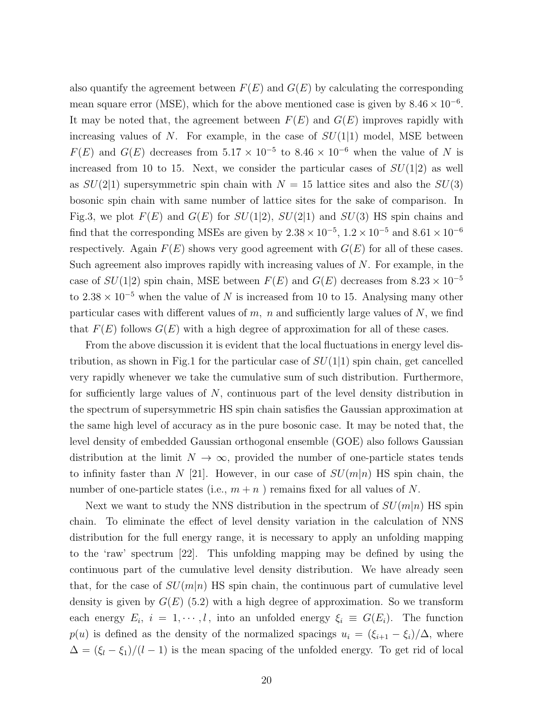also quantify the agreement between  $F(E)$  and  $G(E)$  by calculating the corresponding mean square error (MSE), which for the above mentioned case is given by  $8.46 \times 10^{-6}$ . It may be noted that, the agreement between  $F(E)$  and  $G(E)$  improves rapidly with increasing values of N. For example, in the case of  $SU(1|1)$  model, MSE between  $F(E)$  and  $G(E)$  decreases from  $5.17 \times 10^{-5}$  to  $8.46 \times 10^{-6}$  when the value of N is increased from 10 to 15. Next, we consider the particular cases of  $SU(1|2)$  as well as  $SU(2|1)$  supersymmetric spin chain with  $N = 15$  lattice sites and also the  $SU(3)$ bosonic spin chain with same number of lattice sites for the sake of comparison. In Fig.3, we plot  $F(E)$  and  $G(E)$  for  $SU(1|2)$ ,  $SU(2|1)$  and  $SU(3)$  HS spin chains and find that the corresponding MSEs are given by  $2.38 \times 10^{-5}$ ,  $1.2 \times 10^{-5}$  and  $8.61 \times 10^{-6}$ respectively. Again  $F(E)$  shows very good agreement with  $G(E)$  for all of these cases. Such agreement also improves rapidly with increasing values of  $N$ . For example, in the case of  $SU(1|2)$  spin chain, MSE between  $F(E)$  and  $G(E)$  decreases from 8.23 × 10<sup>-5</sup> to 2.38  $\times$  10<sup>-5</sup> when the value of N is increased from 10 to 15. Analysing many other particular cases with different values of  $m$ ,  $n$  and sufficiently large values of  $N$ , we find that  $F(E)$  follows  $G(E)$  with a high degree of approximation for all of these cases.

From the above discussion it is evident that the local fluctuations in energy level distribution, as shown in Fig.1 for the particular case of  $SU(1|1)$  spin chain, get cancelled very rapidly whenever we take the cumulative sum of such distribution. Furthermore, for sufficiently large values of  $N$ , continuous part of the level density distribution in the spectrum of supersymmetric HS spin chain satisfies the Gaussian approximation at the same high level of accuracy as in the pure bosonic case. It may be noted that, the level density of embedded Gaussian orthogonal ensemble (GOE) also follows Gaussian distribution at the limit  $N \to \infty$ , provided the number of one-particle states tends to infinity faster than N [21]. However, in our case of  $SU(m|n)$  HS spin chain, the number of one-particle states (i.e.,  $m + n$ ) remains fixed for all values of N.

Next we want to study the NNS distribution in the spectrum of  $SU(m|n)$  HS spin chain. To eliminate the effect of level density variation in the calculation of NNS distribution for the full energy range, it is necessary to apply an unfolding mapping to the 'raw' spectrum [22]. This unfolding mapping may be defined by using the continuous part of the cumulative level density distribution. We have already seen that, for the case of  $SU(m|n)$  HS spin chain, the continuous part of cumulative level density is given by  $G(E)$  (5.2) with a high degree of approximation. So we transform each energy  $E_i$ ,  $i = 1, \dots, l$ , into an unfolded energy  $\xi_i \equiv G(E_i)$ . The function  $p(u)$  is defined as the density of the normalized spacings  $u_i = (\xi_{i+1} - \xi_i)/\Delta$ , where  $\Delta = (\xi_l - \xi_1)/(l - 1)$  is the mean spacing of the unfolded energy. To get rid of local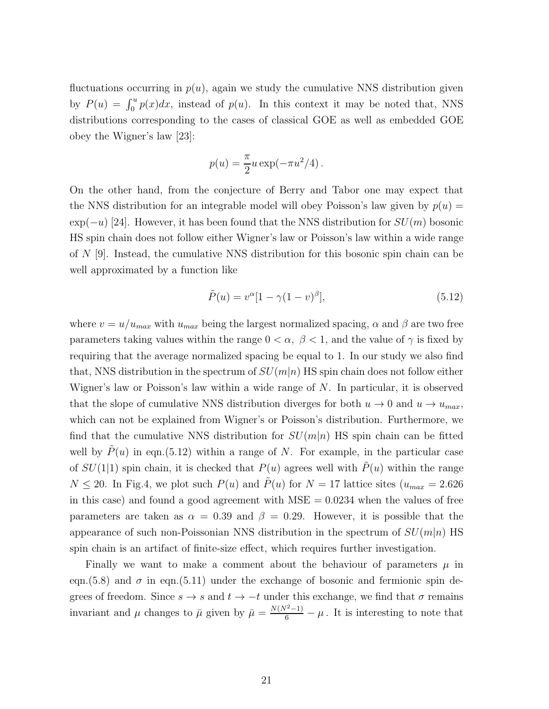fluctuations occurring in  $p(u)$ , again we study the cumulative NNS distribution given by  $P(u) = \int_0^u p(x)dx$ , instead of  $p(u)$ . In this context it may be noted that, NNS distributions corresponding to the cases of classical GOE as well as embedded GOE obey the Wigner's law [23]:

$$
p(u) = \frac{\pi}{2}u\exp(-\pi u^2/4).
$$

On the other hand, from the conjecture of Berry and Tabor one may expect that the NNS distribution for an integrable model will obey Poisson's law given by  $p(u) =$  $\exp(-u)$  [24]. However, it has been found that the NNS distribution for  $SU(m)$  bosonic HS spin chain does not follow either Wigner's law or Poisson's law within a wide range of N [9]. Instead, the cumulative NNS distribution for this bosonic spin chain can be well approximated by a function like

$$
\tilde{P}(u) = v^{\alpha} [1 - \gamma (1 - v)^{\beta}], \tag{5.12}
$$

where  $v = u/u_{max}$  with  $u_{max}$  being the largest normalized spacing,  $\alpha$  and  $\beta$  are two free parameters taking values within the range  $0 < \alpha$ ,  $\beta < 1$ , and the value of  $\gamma$  is fixed by requiring that the average normalized spacing be equal to 1. In our study we also find that, NNS distribution in the spectrum of  $SU(m|n)$  HS spin chain does not follow either Wigner's law or Poisson's law within a wide range of  $N$ . In particular, it is observed that the slope of cumulative NNS distribution diverges for both  $u \to 0$  and  $u \to u_{max}$ , which can not be explained from Wigner's or Poisson's distribution. Furthermore, we find that the cumulative NNS distribution for  $SU(m|n)$  HS spin chain can be fitted well by  $P(u)$  in eqn.(5.12) within a range of N. For example, in the particular case of  $SU(1|1)$  spin chain, it is checked that  $P(u)$  agrees well with  $\tilde{P}(u)$  within the range  $N \leq 20$ . In Fig.4, we plot such  $P(u)$  and  $\tilde{P}(u)$  for  $N = 17$  lattice sites  $(u_{max} = 2.626$ in this case) and found a good agreement with  $MSE = 0.0234$  when the values of free parameters are taken as  $\alpha = 0.39$  and  $\beta = 0.29$ . However, it is possible that the appearance of such non-Poissonian NNS distribution in the spectrum of  $SU(m|n)$  HS spin chain is an artifact of finite-size effect, which requires further investigation.

Finally we want to make a comment about the behaviour of parameters  $\mu$  in eqn.(5.8) and  $\sigma$  in eqn.(5.11) under the exchange of bosonic and fermionic spin degrees of freedom. Since  $s \to s$  and  $t \to -t$  under this exchange, we find that  $\sigma$  remains invariant and  $\mu$  changes to  $\bar{\mu}$  given by  $\bar{\mu} = \frac{N(N^2-1)}{6} - \mu$ . It is interesting to note that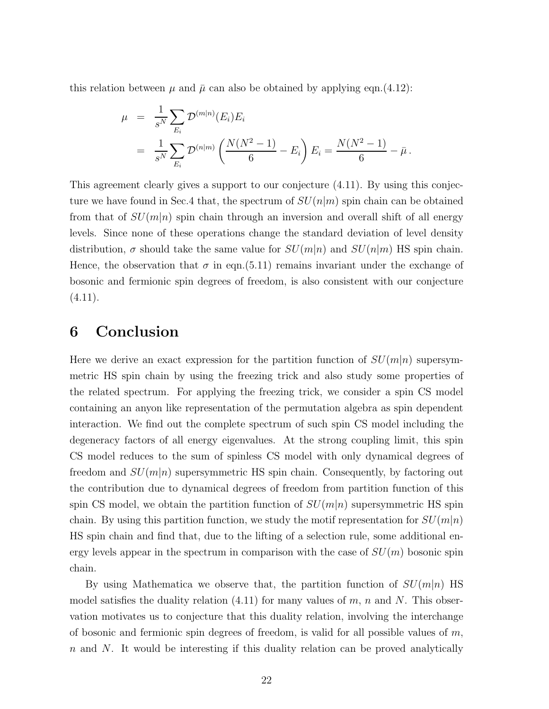this relation between  $\mu$  and  $\bar{\mu}$  can also be obtained by applying eqn.(4.12):

$$
\mu = \frac{1}{s^N} \sum_{E_i} \mathcal{D}^{(m|n)}(E_i) E_i
$$
  
= 
$$
\frac{1}{s^N} \sum_{E_i} \mathcal{D}^{(n|m)} \left( \frac{N(N^2 - 1)}{6} - E_i \right) E_i = \frac{N(N^2 - 1)}{6} - \bar{\mu}.
$$

This agreement clearly gives a support to our conjecture (4.11). By using this conjecture we have found in Sec.4 that, the spectrum of  $SU(n|m)$  spin chain can be obtained from that of  $SU(m|n)$  spin chain through an inversion and overall shift of all energy levels. Since none of these operations change the standard deviation of level density distribution,  $\sigma$  should take the same value for  $SU(m|n)$  and  $SU(n|m)$  HS spin chain. Hence, the observation that  $\sigma$  in eqn.(5.11) remains invariant under the exchange of bosonic and fermionic spin degrees of freedom, is also consistent with our conjecture  $(4.11).$ 

## 6 Conclusion

Here we derive an exact expression for the partition function of  $SU(m|n)$  supersymmetric HS spin chain by using the freezing trick and also study some properties of the related spectrum. For applying the freezing trick, we consider a spin CS model containing an anyon like representation of the permutation algebra as spin dependent interaction. We find out the complete spectrum of such spin CS model including the degeneracy factors of all energy eigenvalues. At the strong coupling limit, this spin CS model reduces to the sum of spinless CS model with only dynamical degrees of freedom and  $SU(m|n)$  supersymmetric HS spin chain. Consequently, by factoring out the contribution due to dynamical degrees of freedom from partition function of this spin CS model, we obtain the partition function of  $SU(m|n)$  supersymmetric HS spin chain. By using this partition function, we study the motif representation for  $SU(m|n)$ HS spin chain and find that, due to the lifting of a selection rule, some additional energy levels appear in the spectrum in comparison with the case of  $SU(m)$  bosonic spin chain.

By using Mathematica we observe that, the partition function of  $SU(m|n)$  HS model satisfies the duality relation  $(4.11)$  for many values of m, n and N. This observation motivates us to conjecture that this duality relation, involving the interchange of bosonic and fermionic spin degrees of freedom, is valid for all possible values of  $m$ ,  $n$  and  $N$ . It would be interesting if this duality relation can be proved analytically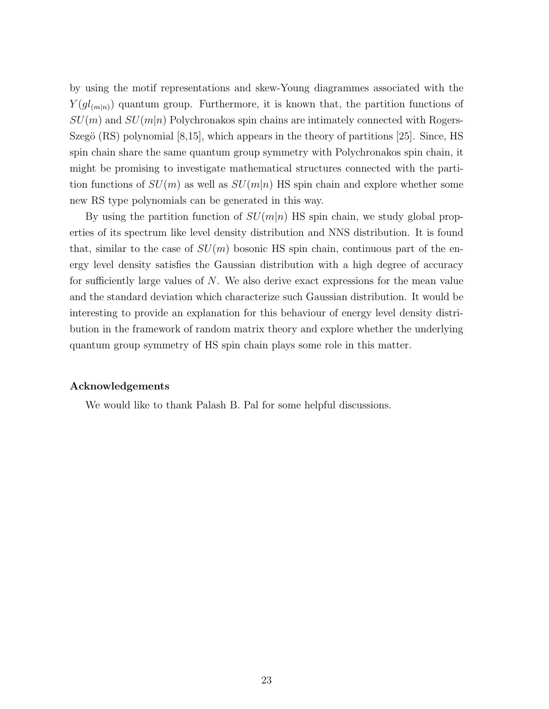by using the motif representations and skew-Young diagrammes associated with the  $Y(gl_{(m|n)})$  quantum group. Furthermore, it is known that, the partition functions of  $SU(m)$  and  $SU(m|n)$  Polychronakos spin chains are intimately connected with Rogers-Szegö  $(RS)$  polynomial  $[8,15]$ , which appears in the theory of partitions  $[25]$ . Since, HS spin chain share the same quantum group symmetry with Polychronakos spin chain, it might be promising to investigate mathematical structures connected with the partition functions of  $SU(m)$  as well as  $SU(m|n)$  HS spin chain and explore whether some new RS type polynomials can be generated in this way.

By using the partition function of  $SU(m|n)$  HS spin chain, we study global properties of its spectrum like level density distribution and NNS distribution. It is found that, similar to the case of  $SU(m)$  bosonic HS spin chain, continuous part of the energy level density satisfies the Gaussian distribution with a high degree of accuracy for sufficiently large values of  $N$ . We also derive exact expressions for the mean value and the standard deviation which characterize such Gaussian distribution. It would be interesting to provide an explanation for this behaviour of energy level density distribution in the framework of random matrix theory and explore whether the underlying quantum group symmetry of HS spin chain plays some role in this matter.

#### Acknowledgements

We would like to thank Palash B. Pal for some helpful discussions.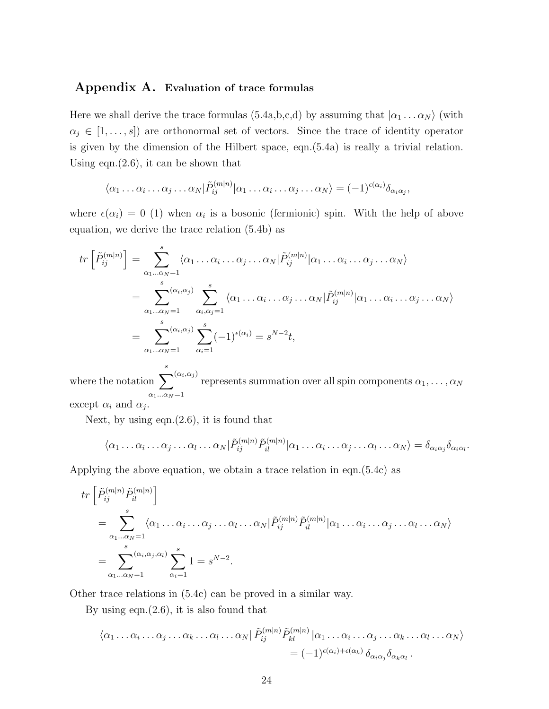#### Appendix A. Evaluation of trace formulas

Here we shall derive the trace formulas (5.4a,b,c,d) by assuming that  $|\alpha_1 \dots \alpha_N\rangle$  (with  $\alpha_j \in [1, \ldots, s]$  are orthonormal set of vectors. Since the trace of identity operator is given by the dimension of the Hilbert space, eqn.(5.4a) is really a trivial relation. Using eqn. $(2.6)$ , it can be shown that

$$
\langle \alpha_1 \dots \alpha_i \dots \alpha_j \dots \alpha_N | \tilde{P}_{ij}^{(m|n)} | \alpha_1 \dots \alpha_i \dots \alpha_j \dots \alpha_N \rangle = (-1)^{\epsilon(\alpha_i)} \delta_{\alpha_i \alpha_j},
$$

where  $\epsilon(\alpha_i) = 0$  (1) when  $\alpha_i$  is a bosonic (fermionic) spin. With the help of above equation, we derive the trace relation (5.4b) as

$$
tr\left[\tilde{P}_{ij}^{(m|n)}\right] = \sum_{\alpha_1...\alpha_N=1}^s \langle \alpha_1...\alpha_i...\alpha_j...\alpha_N | \tilde{P}_{ij}^{(m|n)} | \alpha_1...\alpha_i...\alpha_j...\alpha_N \rangle
$$
  
\n
$$
= \sum_{\alpha_1...\alpha_N=1}^s \sum_{\alpha_i,\alpha_j=1}^s \langle \alpha_1...\alpha_i...\alpha_j...\alpha_N | \tilde{P}_{ij}^{(m|n)} | \alpha_1...\alpha_i...\alpha_j...\alpha_N \rangle
$$
  
\n
$$
= \sum_{\alpha_1...\alpha_N=1}^s \sum_{\alpha_i=1}^s (-1)^{\epsilon(\alpha_i)} = s^{N-2}t,
$$

where the notation  $\sum_{s=1}^{s}$  $(\alpha_i, \alpha_j)$  represents summation over all spin components  $\alpha_1, \ldots, \alpha_N$  $\alpha_1...\alpha_N\!=\!1$ except  $\alpha_i$  and  $\alpha_j$ .

Next, by using eqn. $(2.6)$ , it is found that

$$
\langle \alpha_1 \dots \alpha_i \dots \alpha_j \dots \alpha_l \dots \alpha_N | \tilde{P}_{ij}^{(m|n)} \tilde{P}_{il}^{(m|n)} | \alpha_1 \dots \alpha_i \dots \alpha_j \dots \alpha_l \dots \alpha_N \rangle = \delta_{\alpha_i \alpha_j} \delta_{\alpha_i \alpha_l}.
$$

Applying the above equation, we obtain a trace relation in eqn.(5.4c) as

$$
tr\left[\tilde{P}_{ij}^{(m|n)}\tilde{P}_{il}^{(m|n)}\right]
$$
  
= 
$$
\sum_{\alpha_1...\alpha_N=1}^s \langle \alpha_1...\alpha_i...\alpha_j...\alpha_l...\alpha_N|\tilde{P}_{ij}^{(m|n)}\tilde{P}_{il}^{(m|n)}|\alpha_1...\alpha_i...\alpha_j...\alpha_N\rangle
$$
  
= 
$$
\sum_{\alpha_1...\alpha_N=1}^s \langle \alpha_i,\alpha_j,\alpha_l \rangle \sum_{\alpha_i=1}^s 1 = s^{N-2}.
$$

Other trace relations in (5.4c) can be proved in a similar way.

By using eqn. $(2.6)$ , it is also found that

$$
\langle \alpha_1 \dots \alpha_i \dots \alpha_j \dots \alpha_k \dots \alpha_l \dots \alpha_N | \tilde{P}_{ij}^{(m|n)} \tilde{P}_{kl}^{(m|n)} | \alpha_1 \dots \alpha_i \dots \alpha_j \dots \alpha_k \dots \alpha_l \dots \alpha_N \rangle
$$
  
= 
$$
(-1)^{\epsilon(\alpha_i) + \epsilon(\alpha_k)} \delta_{\alpha_i \alpha_j} \delta_{\alpha_k \alpha_l} .
$$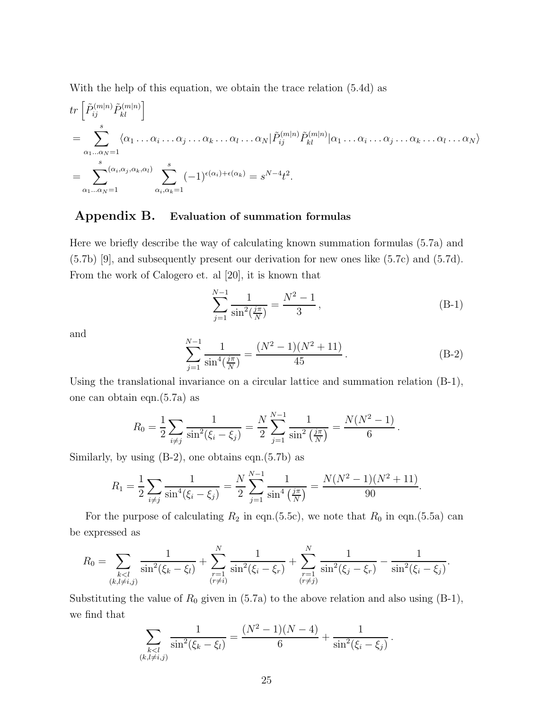With the help of this equation, we obtain the trace relation (5.4d) as

$$
tr\left[\tilde{P}_{ij}^{(m|n)}\tilde{P}_{kl}^{(m|n)}\right]
$$
  
= 
$$
\sum_{\alpha_1...\alpha_N=1}^s \langle \alpha_1...\alpha_i...\alpha_j...\alpha_k...\alpha_l...\alpha_N|\tilde{P}_{ij}^{(m|n)}\tilde{P}_{kl}^{(m|n)}|\alpha_1...\alpha_i...\alpha_j...\alpha_k...\alpha_N\rangle
$$
  
= 
$$
\sum_{\alpha_1...\alpha_N=1}^s (\alpha_i,\alpha_j,\alpha_k,\alpha_l) \sum_{\alpha_i,\alpha_k=1}^s (-1)^{\epsilon(\alpha_i)+\epsilon(\alpha_k)} = s^{N-4}t^2.
$$

#### Appendix B. Evaluation of summation formulas

Here we briefly describe the way of calculating known summation formulas (5.7a) and (5.7b) [9], and subsequently present our derivation for new ones like (5.7c) and (5.7d). From the work of Calogero et. al [20], it is known that

$$
\sum_{j=1}^{N-1} \frac{1}{\sin^2(\frac{j\pi}{N})} = \frac{N^2 - 1}{3},\tag{B-1}
$$

.

and

$$
\sum_{j=1}^{N-1} \frac{1}{\sin^4(\frac{j\pi}{N})} = \frac{(N^2 - 1)(N^2 + 11)}{45}.
$$
 (B-2)

Using the translational invariance on a circular lattice and summation relation (B-1), one can obtain eqn.(5.7a) as

$$
R_0 = \frac{1}{2} \sum_{i \neq j} \frac{1}{\sin^2(\xi_i - \xi_j)} = \frac{N}{2} \sum_{j=1}^{N-1} \frac{1}{\sin^2(\frac{j\pi}{N})} = \frac{N(N^2 - 1)}{6}
$$

Similarly, by using  $(B-2)$ , one obtains eqn. $(5.7b)$  as

$$
R_1 = \frac{1}{2} \sum_{i \neq j} \frac{1}{\sin^4(\xi_i - \xi_j)} = \frac{N}{2} \sum_{j=1}^{N-1} \frac{1}{\sin^4(\frac{j\pi}{N})} = \frac{N(N^2 - 1)(N^2 + 11)}{90}.
$$

For the purpose of calculating  $R_2$  in eqn.(5.5c), we note that  $R_0$  in eqn.(5.5a) can be expressed as

$$
R_0 = \sum_{\substack{k < l \\ (k, l \neq i, j)}} \frac{1}{\sin^2(\xi_k - \xi_l)} + \sum_{\substack{r=1 \\ (r \neq i)}}^N \frac{1}{\sin^2(\xi_i - \xi_r)} + \sum_{\substack{r=1 \\ (r \neq j)}}^N \frac{1}{\sin^2(\xi_j - \xi_r)} - \frac{1}{\sin^2(\xi_i - \xi_j)}.
$$

Substituting the value of  $R_0$  given in (5.7a) to the above relation and also using (B-1), we find that

$$
\sum_{\substack{k
$$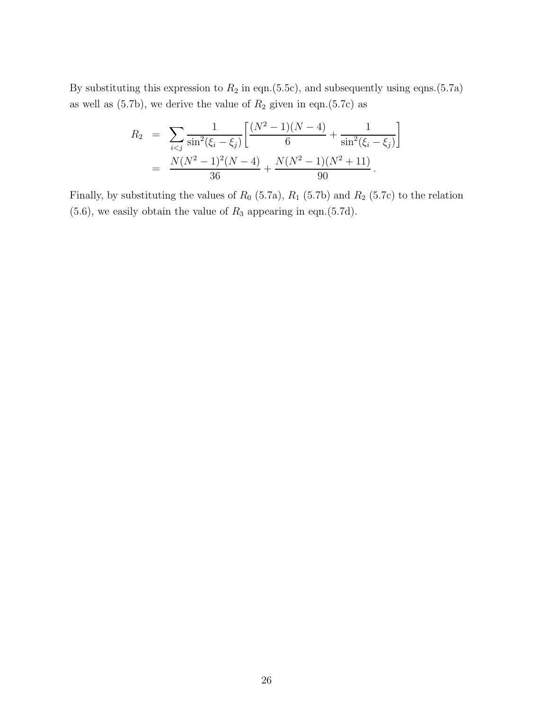By substituting this expression to  $R_2$  in eqn.(5.5c), and subsequently using eqns.(5.7a) as well as  $(5.7b)$ , we derive the value of  $R_2$  given in eqn. $(5.7c)$  as

$$
R_2 = \sum_{i < j} \frac{1}{\sin^2(\xi_i - \xi_j)} \left[ \frac{(N^2 - 1)(N - 4)}{6} + \frac{1}{\sin^2(\xi_i - \xi_j)} \right]
$$
\n
$$
= \frac{N(N^2 - 1)^2(N - 4)}{36} + \frac{N(N^2 - 1)(N^2 + 11)}{90}.
$$

Finally, by substituting the values of  $R_0$  (5.7a),  $R_1$  (5.7b) and  $R_2$  (5.7c) to the relation  $(5.6)$ , we easily obtain the value of  $R_3$  appearing in eqn. $(5.7d)$ .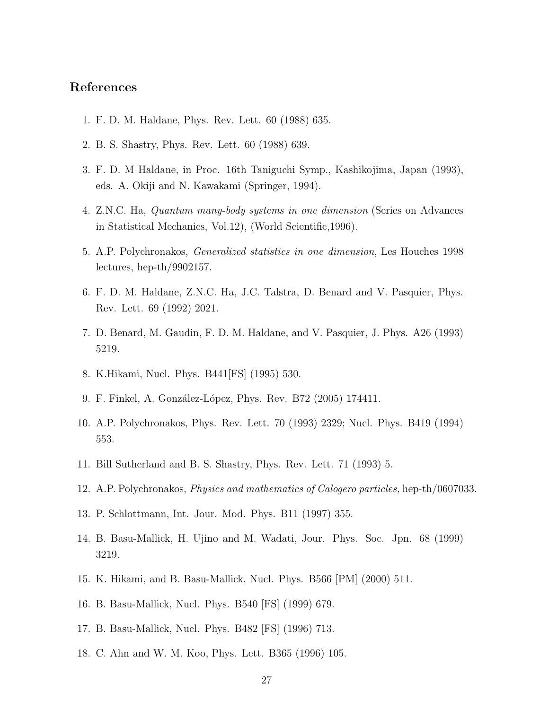### References

- 1. F. D. M. Haldane, Phys. Rev. Lett. 60 (1988) 635.
- 2. B. S. Shastry, Phys. Rev. Lett. 60 (1988) 639.
- 3. F. D. M Haldane, in Proc. 16th Taniguchi Symp., Kashikojima, Japan (1993), eds. A. Okiji and N. Kawakami (Springer, 1994).
- 4. Z.N.C. Ha, Quantum many-body systems in one dimension (Series on Advances in Statistical Mechanics, Vol.12), (World Scientific,1996).
- 5. A.P. Polychronakos, Generalized statistics in one dimension, Les Houches 1998 lectures, hep-th/9902157.
- 6. F. D. M. Haldane, Z.N.C. Ha, J.C. Talstra, D. Benard and V. Pasquier, Phys. Rev. Lett. 69 (1992) 2021.
- 7. D. Benard, M. Gaudin, F. D. M. Haldane, and V. Pasquier, J. Phys. A26 (1993) 5219.
- 8. K.Hikami, Nucl. Phys. B441[FS] (1995) 530.
- 9. F. Finkel, A. González-López, Phys. Rev. B72 (2005) 174411.
- 10. A.P. Polychronakos, Phys. Rev. Lett. 70 (1993) 2329; Nucl. Phys. B419 (1994) 553.
- 11. Bill Sutherland and B. S. Shastry, Phys. Rev. Lett. 71 (1993) 5.
- 12. A.P. Polychronakos, Physics and mathematics of Calogero particles, hep-th/0607033.
- 13. P. Schlottmann, Int. Jour. Mod. Phys. B11 (1997) 355.
- 14. B. Basu-Mallick, H. Ujino and M. Wadati, Jour. Phys. Soc. Jpn. 68 (1999) 3219.
- 15. K. Hikami, and B. Basu-Mallick, Nucl. Phys. B566 [PM] (2000) 511.
- 16. B. Basu-Mallick, Nucl. Phys. B540 [FS] (1999) 679.
- 17. B. Basu-Mallick, Nucl. Phys. B482 [FS] (1996) 713.
- 18. C. Ahn and W. M. Koo, Phys. Lett. B365 (1996) 105.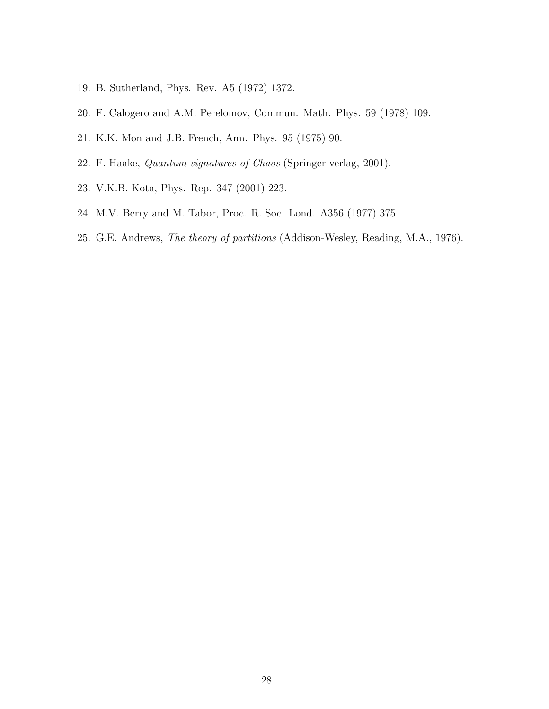- 19. B. Sutherland, Phys. Rev. A5 (1972) 1372.
- 20. F. Calogero and A.M. Perelomov, Commun. Math. Phys. 59 (1978) 109.
- 21. K.K. Mon and J.B. French, Ann. Phys. 95 (1975) 90.
- 22. F. Haake, Quantum signatures of Chaos (Springer-verlag, 2001).
- 23. V.K.B. Kota, Phys. Rep. 347 (2001) 223.
- 24. M.V. Berry and M. Tabor, Proc. R. Soc. Lond. A356 (1977) 375.
- 25. G.E. Andrews, The theory of partitions (Addison-Wesley, Reading, M.A., 1976).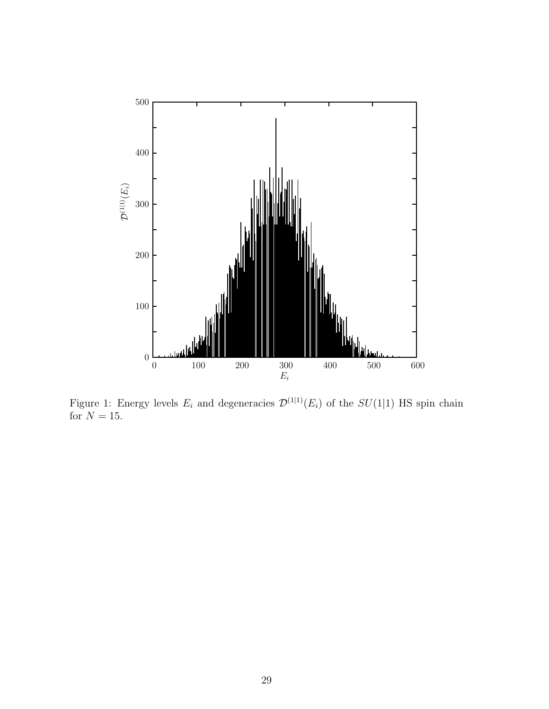

Figure 1: Energy levels  $E_i$  and degeneracies  $\mathcal{D}^{(1|1)}(E_i)$  of the  $SU(1|1)$  HS spin chain for  $N = 15$ .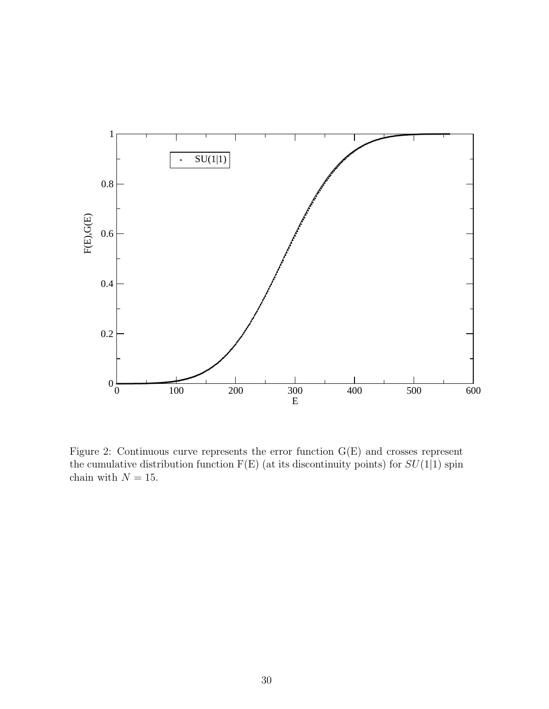

Figure 2: Continuous curve represents the error function G(E) and crosses represent the cumulative distribution function  $F(E)$  (at its discontinuity points) for  $SU(1|1)$  spin chain with  ${\cal N}=15.$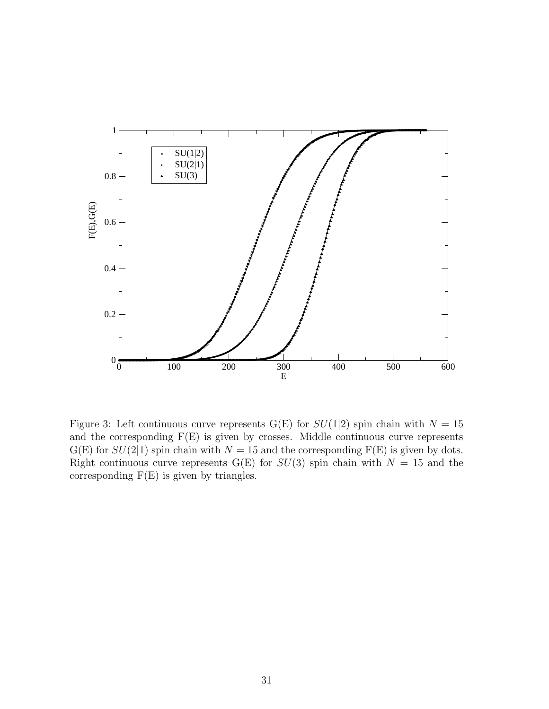

Figure 3: Left continuous curve represents G(E) for  $SU(1|2)$  spin chain with  $N = 15$ and the corresponding  $F(E)$  is given by crosses. Middle continuous curve represents  $G(E)$  for  $SU(2|1)$  spin chain with  $N = 15$  and the corresponding  $F(E)$  is given by dots. Right continuous curve represents G(E) for  $SU(3)$  spin chain with  $N = 15$  and the corresponding  $F(E)$  is given by triangles.